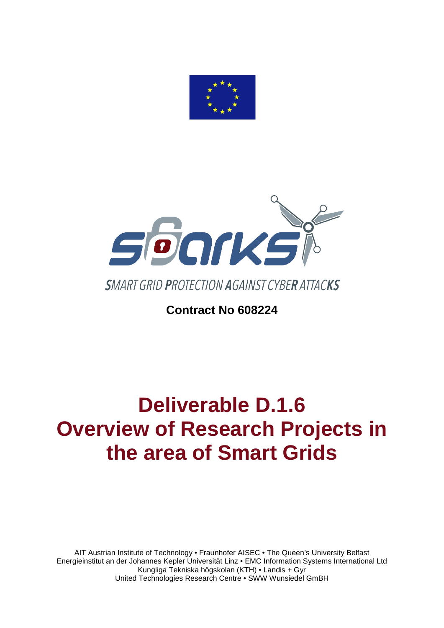



# **Contract No 608224**

# **Deliverable D.1.6 Overview of Research Projects in the area of Smart Grids**

AIT Austrian Institute of Technology • Fraunhofer AISEC • The Queen's University Belfast Energieinstitut an der Johannes Kepler Universität Linz • EMC Information Systems International Ltd Kungliga Tekniska högskolan (KTH) • Landis + Gyr United Technologies Research Centre • SWW Wunsiedel GmBH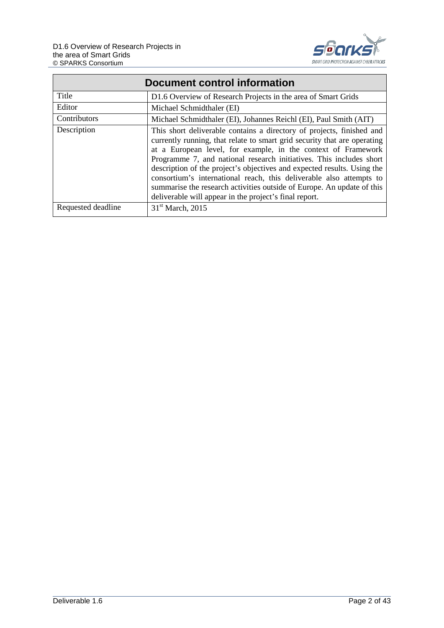

|                    | Document control information                                                                                                                                                                                                                                                                                                                                                                                                                                                                                                                                                    |  |  |  |  |  |  |  |  |
|--------------------|---------------------------------------------------------------------------------------------------------------------------------------------------------------------------------------------------------------------------------------------------------------------------------------------------------------------------------------------------------------------------------------------------------------------------------------------------------------------------------------------------------------------------------------------------------------------------------|--|--|--|--|--|--|--|--|
| Title              | D1.6 Overview of Research Projects in the area of Smart Grids                                                                                                                                                                                                                                                                                                                                                                                                                                                                                                                   |  |  |  |  |  |  |  |  |
| Editor             | Michael Schmidthaler (EI)                                                                                                                                                                                                                                                                                                                                                                                                                                                                                                                                                       |  |  |  |  |  |  |  |  |
| Contributors       | Michael Schmidthaler (EI), Johannes Reichl (EI), Paul Smith (AIT)                                                                                                                                                                                                                                                                                                                                                                                                                                                                                                               |  |  |  |  |  |  |  |  |
| Description        | This short deliverable contains a directory of projects, finished and<br>currently running, that relate to smart grid security that are operating<br>at a European level, for example, in the context of Framework<br>Programme 7, and national research initiatives. This includes short<br>description of the project's objectives and expected results. Using the<br>consortium's international reach, this deliverable also attempts to<br>summarise the research activities outside of Europe. An update of this<br>deliverable will appear in the project's final report. |  |  |  |  |  |  |  |  |
| Requested deadline | 31 <sup>st</sup> March, 2015                                                                                                                                                                                                                                                                                                                                                                                                                                                                                                                                                    |  |  |  |  |  |  |  |  |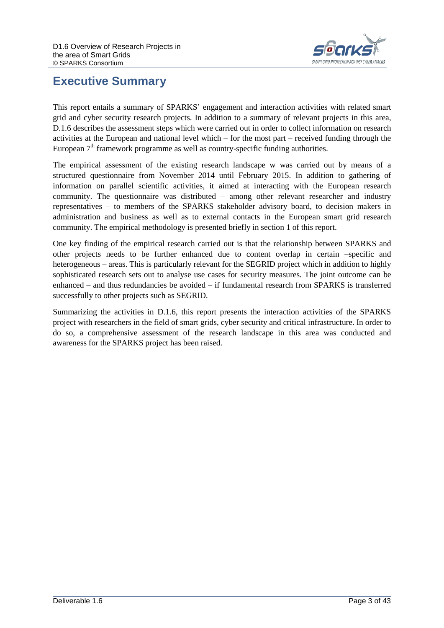

## <span id="page-2-0"></span>**Executive Summary**

This report entails a summary of SPARKS' engagement and interaction activities with related smart grid and cyber security research projects. In addition to a summary of relevant projects in this area, D.1.6 describes the assessment steps which were carried out in order to collect information on research activities at the European and national level which – for the most part – received funding through the European  $7<sup>th</sup>$  framework programme as well as country-specific funding authorities.

The empirical assessment of the existing research landscape w was carried out by means of a structured questionnaire from November 2014 until February 2015. In addition to gathering of information on parallel scientific activities, it aimed at interacting with the European research community. The questionnaire was distributed – among other relevant researcher and industry representatives – to members of the SPARKS stakeholder advisory board, to decision makers in administration and business as well as to external contacts in the European smart grid research community. The empirical methodology is presented briefly in section 1 of this report.

One key finding of the empirical research carried out is that the relationship between SPARKS and other projects needs to be further enhanced due to content overlap in certain –specific and heterogeneous – areas. This is particularly relevant for the SEGRID project which in addition to highly sophisticated research sets out to analyse use cases for security measures. The joint outcome can be enhanced – and thus redundancies be avoided – if fundamental research from SPARKS is transferred successfully to other projects such as SEGRID.

Summarizing the activities in D.1.6, this report presents the interaction activities of the SPARKS project with researchers in the field of smart grids, cyber security and critical infrastructure. In order to do so, a comprehensive assessment of the research landscape in this area was conducted and awareness for the SPARKS project has been raised.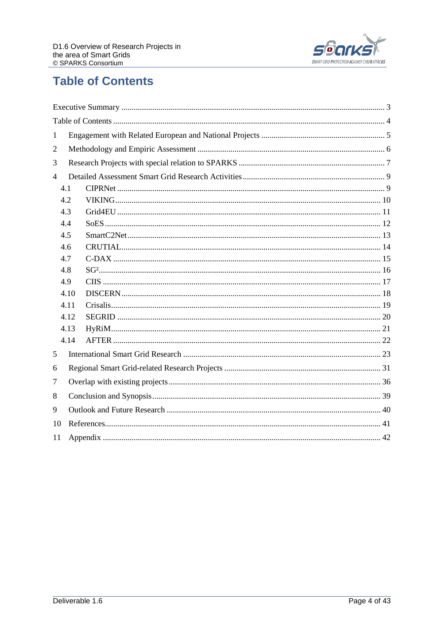

# <span id="page-3-0"></span>**Table of Contents**

| 1              |      |  |  |  |  |  |  |  |  |  |
|----------------|------|--|--|--|--|--|--|--|--|--|
| $\overline{2}$ |      |  |  |  |  |  |  |  |  |  |
| 3              |      |  |  |  |  |  |  |  |  |  |
| $\overline{4}$ |      |  |  |  |  |  |  |  |  |  |
|                | 4.1  |  |  |  |  |  |  |  |  |  |
|                | 4.2  |  |  |  |  |  |  |  |  |  |
|                | 4.3  |  |  |  |  |  |  |  |  |  |
|                | 4.4  |  |  |  |  |  |  |  |  |  |
|                | 4.5  |  |  |  |  |  |  |  |  |  |
|                | 4.6  |  |  |  |  |  |  |  |  |  |
|                | 4.7  |  |  |  |  |  |  |  |  |  |
|                | 4.8  |  |  |  |  |  |  |  |  |  |
|                | 4.9  |  |  |  |  |  |  |  |  |  |
|                | 4.10 |  |  |  |  |  |  |  |  |  |
|                | 4.11 |  |  |  |  |  |  |  |  |  |
|                | 4.12 |  |  |  |  |  |  |  |  |  |
|                | 4.13 |  |  |  |  |  |  |  |  |  |
|                | 4.14 |  |  |  |  |  |  |  |  |  |
| 5              |      |  |  |  |  |  |  |  |  |  |
| 6              |      |  |  |  |  |  |  |  |  |  |
| 7              |      |  |  |  |  |  |  |  |  |  |
| 8              |      |  |  |  |  |  |  |  |  |  |
| 9              |      |  |  |  |  |  |  |  |  |  |
| 10             |      |  |  |  |  |  |  |  |  |  |
| 11             |      |  |  |  |  |  |  |  |  |  |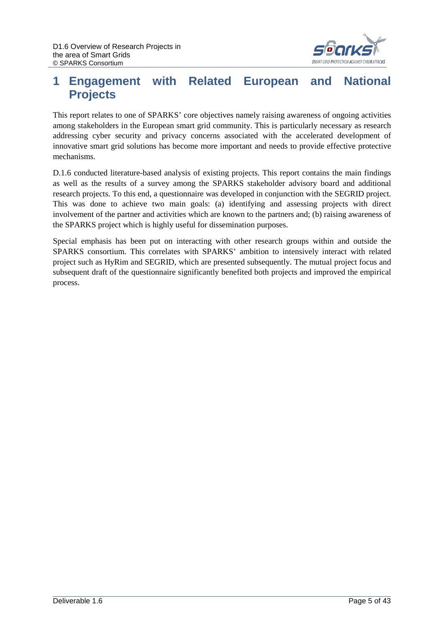

## <span id="page-4-0"></span>**1 Engagement with Related European and National Projects**

This report relates to one of SPARKS' core objectives namely raising awareness of ongoing activities among stakeholders in the European smart grid community. This is particularly necessary as research addressing cyber security and privacy concerns associated with the accelerated development of innovative smart grid solutions has become more important and needs to provide effective protective mechanisms.

D.1.6 conducted literature-based analysis of existing projects. This report contains the main findings as well as the results of a survey among the SPARKS stakeholder advisory board and additional research projects. To this end, a questionnaire was developed in conjunction with the SEGRID project. This was done to achieve two main goals: (a) identifying and assessing projects with direct involvement of the partner and activities which are known to the partners and; (b) raising awareness of the SPARKS project which is highly useful for dissemination purposes.

Special emphasis has been put on interacting with other research groups within and outside the SPARKS consortium. This correlates with SPARKS' ambition to intensively interact with related project such as HyRim and SEGRID, which are presented subsequently. The mutual project focus and subsequent draft of the questionnaire significantly benefited both projects and improved the empirical process.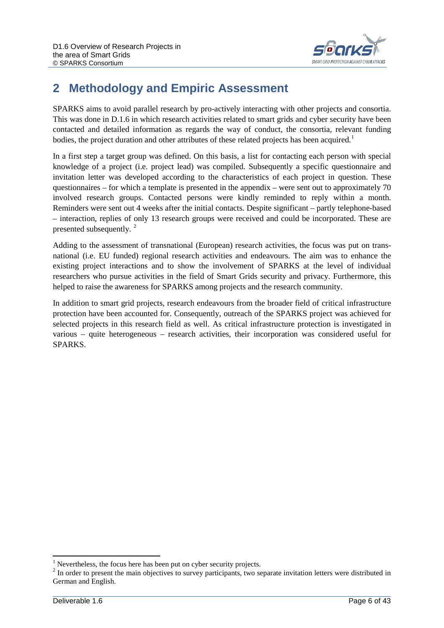

# <span id="page-5-0"></span>**2 Methodology and Empiric Assessment**

SPARKS aims to avoid parallel research by pro-actively interacting with other projects and consortia. This was done in D.1.6 in which research activities related to smart grids and cyber security have been contacted and detailed information as regards the way of conduct, the consortia, relevant funding bodies, the project duration and other attributes of these related projects has been acquired.<sup>[1](#page-5-1)</sup>

In a first step a target group was defined. On this basis, a list for contacting each person with special knowledge of a project (i.e. project lead) was compiled. Subsequently a specific questionnaire and invitation letter was developed according to the characteristics of each project in question. These questionnaires – for which a template is presented in the appendix – were sent out to approximately 70 involved research groups. Contacted persons were kindly reminded to reply within a month. Reminders were sent out 4 weeks after the initial contacts. Despite significant – partly telephone-based – interaction, replies of only 13 research groups were received and could be incorporated. These are presented subsequently. [2](#page-5-2)

Adding to the assessment of transnational (European) research activities, the focus was put on transnational (i.e. EU funded) regional research activities and endeavours. The aim was to enhance the existing project interactions and to show the involvement of SPARKS at the level of individual researchers who pursue activities in the field of Smart Grids security and privacy. Furthermore, this helped to raise the awareness for SPARKS among projects and the research community.

In addition to smart grid projects, research endeavours from the broader field of critical infrastructure protection have been accounted for. Consequently, outreach of the SPARKS project was achieved for selected projects in this research field as well. As critical infrastructure protection is investigated in various – quite heterogeneous – research activities, their incorporation was considered useful for SPARKS.

<span id="page-5-1"></span><sup>&</sup>lt;sup>1</sup> Nevertheless, the focus here has been put on cyber security projects.

<span id="page-5-2"></span><sup>&</sup>lt;sup>2</sup> In order to present the main objectives to survey participants, two separate invitation letters were distributed in German and English.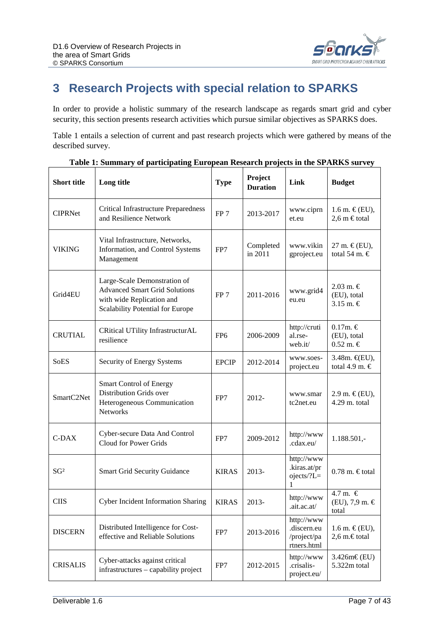

# <span id="page-6-0"></span>**3 Research Projects with special relation to SPARKS**

In order to provide a holistic summary of the research landscape as regards smart grid and cyber security, this section presents research activities which pursue similar objectives as SPARKS does.

[Table 1](#page-6-1) entails a selection of current and past research projects which were gathered by means of the described survey.

<span id="page-6-1"></span>

| <b>Short title</b> | Long title                                                                                                                            | <b>Type</b>     | Project<br><b>Duration</b> | Link                                                    | <b>Budget</b>                                  |
|--------------------|---------------------------------------------------------------------------------------------------------------------------------------|-----------------|----------------------------|---------------------------------------------------------|------------------------------------------------|
| <b>CIPRNet</b>     | <b>Critical Infrastructure Preparedness</b><br>and Resilience Network                                                                 | FP <sub>7</sub> | 2013-2017                  | www.ciprn<br>et.eu                                      | 1.6 m. $\in$ (EU),<br>$2,6$ m $\in$ total      |
| VIKING             | Vital Infrastructure, Networks,<br>Information, and Control Systems<br>Management                                                     | FP7             | Completed<br>in 2011       | www.vikin<br>gproject.eu                                | 27 m. $\in$ (EU),<br>total 54 m. $\in$         |
| Grid4EU            | Large-Scale Demonstration of<br><b>Advanced Smart Grid Solutions</b><br>with wide Replication and<br>Scalability Potential for Europe | FP <sub>7</sub> | 2011-2016                  | www.grid4<br>eu.eu                                      | $2.03$ m. €<br>(EU), total<br>3.15 m. $\in$    |
| <b>CRUTIAL</b>     | CRitical UTility InfrastructurAL<br>resilience                                                                                        | FP <sub>6</sub> | 2006-2009                  | http://cruti<br>al.rse-<br>web.it/                      | $0.17m. \in$<br>(EU), total<br>$0.52$ m. $\in$ |
| <b>SoES</b>        | Security of Energy Systems                                                                                                            | <b>EPCIP</b>    | 2012-2014                  | www.soes-<br>project.eu                                 | 3.48m. €(EU),<br>total 4.9 m. $\in$            |
| SmartC2Net         | Smart Control of Energy<br>Distribution Grids over<br>Heterogeneous Communication<br><b>Networks</b>                                  | FP7             | $2012 -$                   | www.smar<br>tc2net.eu                                   | $2.9$ m. €(EU),<br>4.29 m. total               |
| $C$ -DAX           | Cyber-secure Data And Control<br>Cloud for Power Grids                                                                                | FP7             | 2009-2012                  | http://www<br>.cdax.eu/                                 | $1.188.501,-$                                  |
| SG <sup>2</sup>    | <b>Smart Grid Security Guidance</b>                                                                                                   | <b>KIRAS</b>    | $2013-$                    | http://www<br>.kiras.at/pr<br>ojects/?L=<br>1           | $0.78$ m. $\in$ total                          |
| <b>CIIS</b>        | Cyber Incident Information Sharing                                                                                                    | <b>KIRAS</b>    | 2013-                      | http://www<br>.ait.ac.at/                               | 4.7 m. $\in$<br>$(EU)$ , 7,9 m. $\in$<br>total |
| <b>DISCERN</b>     | Distributed Intelligence for Cost-<br>effective and Reliable Solutions                                                                | FP7             | 2013-2016                  | http://www<br>.discern.eu<br>/project/pa<br>rtners.html | 1.6 m. $\in$ (EU),<br>2,6 m.€total             |
| <b>CRISALIS</b>    | Cyber-attacks against critical<br>infrastructures - capability project                                                                | FP7             | 2012-2015                  | http://www<br>.crisalis-<br>project.eu/                 | $3.426m\text{E}(EU)$<br>5.322m total           |

**Table 1: Summary of participating European Research projects in the SPARKS survey**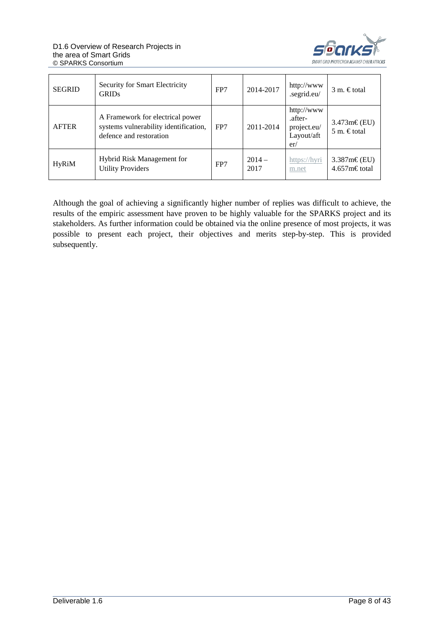

| <b>SEGRID</b> | Security for Smart Electricity<br><b>GRIDs</b>                                                       | FP7 | 2014-2017       | http://www<br>.segrid.eu/                                 | $3 \text{ m}$ . Etotal               |
|---------------|------------------------------------------------------------------------------------------------------|-----|-----------------|-----------------------------------------------------------|--------------------------------------|
| <b>AFTER</b>  | A Framework for electrical power<br>systems vulnerability identification,<br>defence and restoration | FP7 | 2011-2014       | http://www<br>.after-<br>project.eu/<br>Layout/aft<br>er/ | $3.473m\in$ (EU)<br>5 m. $\in$ total |
| <b>HyRiM</b>  | <b>Hybrid Risk Management for</b><br><b>Utility Providers</b>                                        | FP7 | $2014-$<br>2017 | https://hyri<br>m.net                                     | $3.387m\text{E(EU)}$<br>4.657m€total |

Although the goal of achieving a significantly higher number of replies was difficult to achieve, the results of the empiric assessment have proven to be highly valuable for the SPARKS project and its stakeholders. As further information could be obtained via the online presence of most projects, it was possible to present each project, their objectives and merits step-by-step. This is provided subsequently.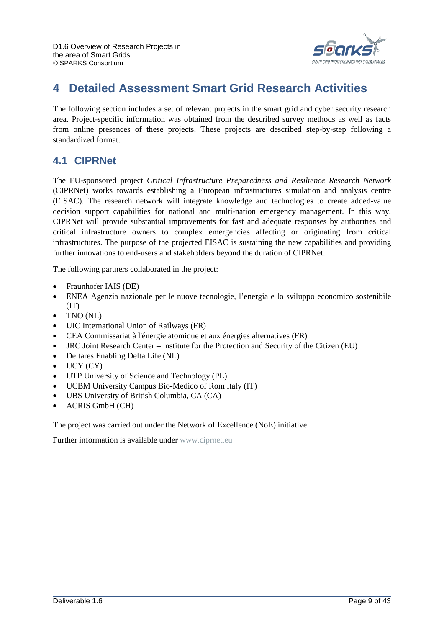

## <span id="page-8-0"></span>**4 Detailed Assessment Smart Grid Research Activities**

The following section includes a set of relevant projects in the smart grid and cyber security research area. Project-specific information was obtained from the described survey methods as well as facts from online presences of these projects. These projects are described step-by-step following a standardized format.

#### <span id="page-8-1"></span>**4.1 CIPRNet**

The EU-sponsored project *Critical Infrastructure Preparedness and Resilience Research Network* (CIPRNet) works towards establishing a European infrastructures simulation and analysis centre (EISAC). The research network will integrate knowledge and technologies to create added-value decision support capabilities for national and multi-nation emergency management. In this way, CIPRNet will provide substantial improvements for fast and adequate responses by authorities and critical infrastructure owners to complex emergencies affecting or originating from critical infrastructures. The purpose of the projected EISAC is sustaining the new capabilities and providing further innovations to end-users and stakeholders beyond the duration of CIPRNet.

The following partners collaborated in the project:

- Fraunhofer IAIS (DE)
- ENEA Agenzia nazionale per le nuove tecnologie, l'energia e lo sviluppo economico sostenibile (IT)
- TNO (NL)
- UIC International Union of Railways (FR)
- CEA Commissariat à l'énergie atomique et aux énergies alternatives (FR)
- JRC Joint Research Center Institute for the Protection and Security of the Citizen (EU)
- Deltares Enabling Delta Life (NL)
- UCY (CY)
- UTP University of Science and Technology (PL)
- UCBM University Campus Bio-Medico of Rom Italy (IT)
- UBS University of British Columbia, CA (CA)
- ACRIS GmbH (CH)

The project was carried out under the Network of Excellence (NoE) initiative.

Further information is available under [www.ciprnet.eu](http://www.ciprnet.eu/)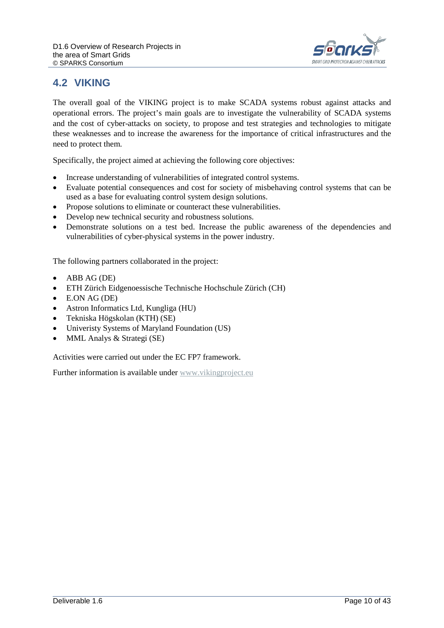

### <span id="page-9-0"></span>**4.2 VIKING**

The overall goal of the VIKING project is to make SCADA systems robust against attacks and operational errors. The project's main goals are to investigate the vulnerability of SCADA systems and the cost of cyber-attacks on society, to propose and test strategies and technologies to mitigate these weaknesses and to increase the awareness for the importance of critical infrastructures and the need to protect them.

Specifically, the project aimed at achieving the following core objectives:

- Increase understanding of vulnerabilities of integrated control systems.
- Evaluate potential consequences and cost for society of misbehaving control systems that can be used as a base for evaluating control system design solutions.
- Propose solutions to eliminate or counteract these vulnerabilities.
- Develop new technical security and robustness solutions.
- Demonstrate solutions on a test bed. Increase the public awareness of the dependencies and vulnerabilities of cyber-physical systems in the power industry.

The following partners collaborated in the project:

- ABB AG (DE)
- ETH Zürich Eidgenoessische Technische Hochschule Zürich (CH)
- E.ON AG (DE)
- Astron Informatics Ltd, Kungliga (HU)
- Tekniska Högskolan (KTH) (SE)
- Univeristy Systems of Maryland Foundation (US)
- MML Analys & Strategi (SE)

Activities were carried out under the EC FP7 framework.

Further information is available under [www.vikingproject.eu](http://www.vikingproject.eu/)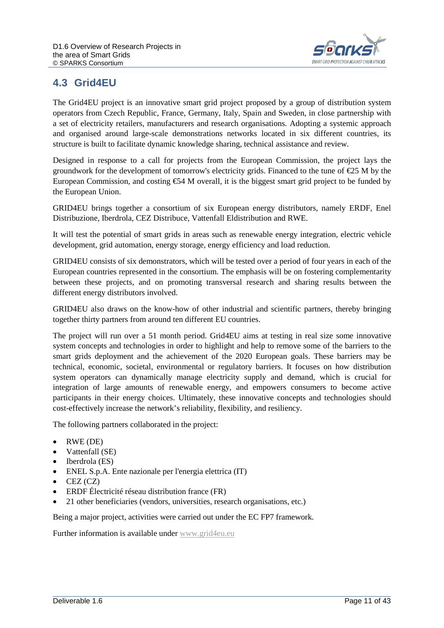

#### <span id="page-10-0"></span>**4.3 Grid4EU**

The Grid4EU project is an innovative smart grid project proposed by a group of distribution system operators from Czech Republic, France, Germany, Italy, Spain and Sweden, in close partnership with a set of electricity retailers, manufacturers and research organisations. Adopting a systemic approach and organised around large-scale demonstrations networks located in six different countries, its structure is built to facilitate dynamic knowledge sharing, technical assistance and review.

Designed in response to a call for projects from the European Commission, the project lays the groundwork for the development of tomorrow's electricity grids. Financed to the tune of  $\epsilon$ 25 M by the European Commission, and costing €54 M overall, it is the biggest smart grid project to be funded by the European Union.

GRID4EU brings together a consortium of six European energy distributors, namely ERDF, Enel Distribuzione, Iberdrola, CEZ Distribuce, Vattenfall Eldistribution and RWE.

It will test the potential of smart grids in areas such as renewable energy integration, electric vehicle development, grid automation, energy storage, energy efficiency and load reduction.

GRID4EU consists of six demonstrators, which will be tested over a period of four years in each of the European countries represented in the consortium. The emphasis will be on fostering complementarity between these projects, and on promoting transversal research and sharing results between the different energy distributors involved.

GRID4EU also draws on the know-how of other industrial and scientific partners, thereby bringing together thirty partners from around ten different EU countries.

The project will run over a 51 month period. Grid4EU aims at testing in real size some innovative system concepts and technologies in order to highlight and help to remove some of the barriers to the smart grids deployment and the achievement of the 2020 European goals. These barriers may be technical, economic, societal, environmental or regulatory barriers. It focuses on how distribution system operators can dynamically manage electricity supply and demand, which is crucial for integration of large amounts of renewable energy, and empowers consumers to become active participants in their energy choices. Ultimately, these innovative concepts and technologies should cost-effectively increase the network's reliability, flexibility, and resiliency.

The following partners collaborated in the project:

- RWE (DE)
- Vattenfall (SE)
- Iberdrola (ES)
- ENEL S.p.A. Ente nazionale per l'energia elettrica (IT)
- CEZ (CZ)
- ERDF Électricité réseau distribution france (FR)
- 21 other beneficiaries (vendors, universities, research organisations, etc.)

Being a major project, activities were carried out under the EC FP7 framework.

Further information is available under [www.grid4eu.eu](http://www.grid4eu.eu/)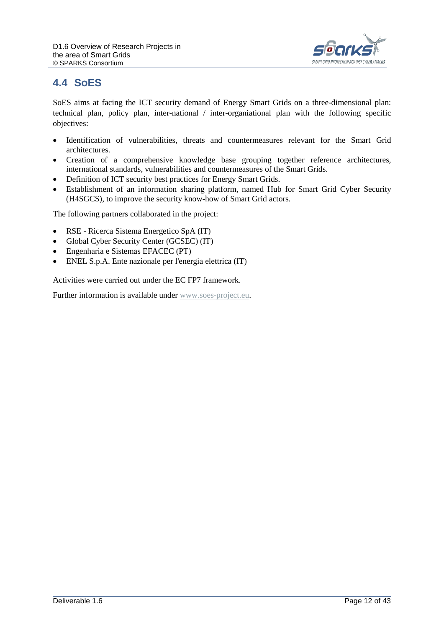

#### <span id="page-11-0"></span>**4.4 SoES**

SoES aims at facing the ICT security demand of Energy Smart Grids on a three-dimensional plan: technical plan, policy plan, inter-national / inter-organiational plan with the following specific objectives:

- Identification of vulnerabilities, threats and countermeasures relevant for the Smart Grid architectures.
- Creation of a comprehensive knowledge base grouping together reference architectures, international standards, vulnerabilities and countermeasures of the Smart Grids.
- Definition of ICT security best practices for Energy Smart Grids.
- Establishment of an information sharing platform, named Hub for Smart Grid Cyber Security (H4SGCS), to improve the security know-how of Smart Grid actors.

The following partners collaborated in the project:

- RSE Ricerca Sistema Energetico SpA (IT)
- Global Cyber Security Center (GCSEC) (IT)
- Engenharia e Sistemas EFACEC (PT)
- ENEL S.p.A. Ente nazionale per l'energia elettrica (IT)

Activities were carried out under the EC FP7 framework.

Further information is available under [www.soes-project.eu.](http://www.soes-project.eu/)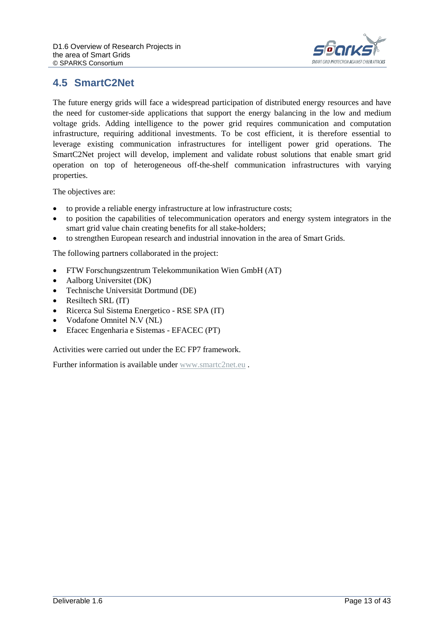

#### <span id="page-12-0"></span>**4.5 SmartC2Net**

The future energy grids will face a widespread participation of distributed energy resources and have the need for customer-side applications that support the energy balancing in the low and medium voltage grids. Adding intelligence to the power grid requires communication and computation infrastructure, requiring additional investments. To be cost efficient, it is therefore essential to leverage existing communication infrastructures for intelligent power grid operations. The SmartC2Net project will develop, implement and validate robust solutions that enable smart grid operation on top of heterogeneous off-the-shelf communication infrastructures with varying properties.

The objectives are:

- to provide a reliable energy infrastructure at low infrastructure costs;
- to position the capabilities of telecommunication operators and energy system integrators in the smart grid value chain creating benefits for all stake-holders;
- to strengthen European research and industrial innovation in the area of Smart Grids.

The following partners collaborated in the project:

- FTW Forschungszentrum Telekommunikation Wien GmbH (AT)
- Aalborg Universitet (DK)
- Technische Universität Dortmund (DE)
- Resiltech SRL (IT)
- Ricerca Sul Sistema Energetico RSE SPA (IT)
- Vodafone Omnitel N.V (NL)
- Efacec Engenharia e Sistemas EFACEC (PT)

Activities were carried out under the EC FP7 framework.

Further information is available under [www.smartc2net.eu](http://www.smartc2net.eu/).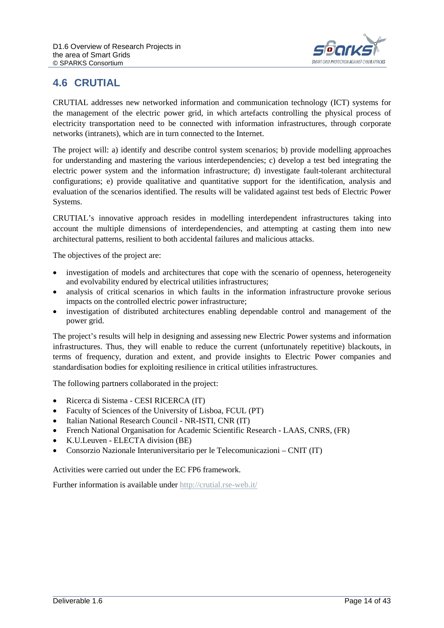

#### <span id="page-13-0"></span>**4.6 CRUTIAL**

CRUTIAL addresses new networked information and communication technology (ICT) systems for the management of the electric power grid, in which artefacts controlling the physical process of electricity transportation need to be connected with information infrastructures, through corporate networks (intranets), which are in turn connected to the Internet.

The project will: a) identify and describe control system scenarios; b) provide modelling approaches for understanding and mastering the various interdependencies; c) develop a test bed integrating the electric power system and the information infrastructure; d) investigate fault-tolerant architectural configurations; e) provide qualitative and quantitative support for the identification, analysis and evaluation of the scenarios identified. The results will be validated against test beds of Electric Power Systems.

CRUTIAL's innovative approach resides in modelling interdependent infrastructures taking into account the multiple dimensions of interdependencies, and attempting at casting them into new architectural patterns, resilient to both accidental failures and malicious attacks.

The objectives of the project are:

- investigation of models and architectures that cope with the scenario of openness, heterogeneity and evolvability endured by electrical utilities infrastructures;
- analysis of critical scenarios in which faults in the information infrastructure provoke serious impacts on the controlled electric power infrastructure;
- investigation of distributed architectures enabling dependable control and management of the power grid.

The project's results will help in designing and assessing new Electric Power systems and information infrastructures. Thus, they will enable to reduce the current (unfortunately repetitive) blackouts, in terms of frequency, duration and extent, and provide insights to Electric Power companies and standardisation bodies for exploiting resilience in critical utilities infrastructures.

The following partners collaborated in the project:

- Ricerca di Sistema CESI RICERCA (IT)
- Faculty of Sciences of the University of Lisboa, FCUL (PT)
- Italian National Research Council NR-ISTI, CNR (IT)
- French National Organisation for Academic Scientific Research LAAS, CNRS, (FR)
- K.U.Leuven ELECTA division (BE)
- Consorzio Nazionale Interuniversitario per le Telecomunicazioni CNIT (IT)

Activities were carried out under the EC FP6 framework.

Further information is available under<http://crutial.rse-web.it/>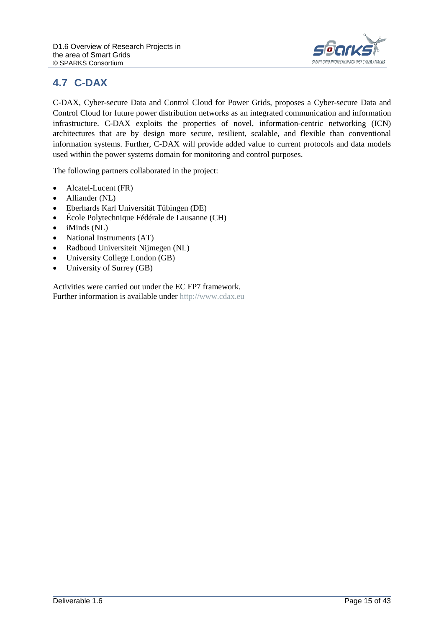

## <span id="page-14-0"></span>**4.7 C-DAX**

C-DAX, Cyber-secure Data and Control Cloud for Power Grids, proposes a Cyber-secure Data and Control Cloud for future power distribution networks as an integrated communication and information infrastructure. C-DAX exploits the properties of novel, information-centric networking (ICN) architectures that are by design more secure, resilient, scalable, and flexible than conventional information systems. Further, C-DAX will provide added value to current protocols and data models used within the power systems domain for monitoring and control purposes.

The following partners collaborated in the project:

- Alcatel-Lucent (FR)
- Alliander (NL)
- Eberhards Karl Universität Tübingen (DE)
- École Polytechnique Fédérale de Lausanne (CH)
- $\bullet$  iMinds (NL)
- National Instruments (AT)
- Radboud Universiteit Nijmegen (NL)
- University College London (GB)
- University of Surrey (GB)

Activities were carried out under the EC FP7 framework. Further information is available under [http://www.cdax.eu](http://www.cdax.eu/)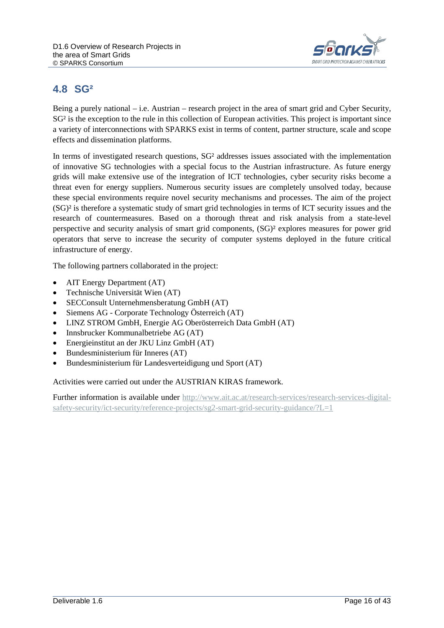

#### <span id="page-15-0"></span>**4.8 SG²**

Being a purely national – i.e. Austrian – research project in the area of smart grid and Cyber Security, SG<sup>2</sup> is the exception to the rule in this collection of European activities. This project is important since a variety of interconnections with SPARKS exist in terms of content, partner structure, scale and scope effects and dissemination platforms.

In terms of investigated research questions, SG² addresses issues associated with the implementation of innovative SG technologies with a special focus to the Austrian infrastructure. As future energy grids will make extensive use of the integration of ICT technologies, cyber security risks become a threat even for energy suppliers. Numerous security issues are completely unsolved today, because these special environments require novel security mechanisms and processes. The aim of the project (SG)² is therefore a systematic study of smart grid technologies in terms of ICT security issues and the research of countermeasures. Based on a thorough threat and risk analysis from a state-level perspective and security analysis of smart grid components, (SG)² explores measures for power grid operators that serve to increase the security of computer systems deployed in the future critical infrastructure of energy.

The following partners collaborated in the project:

- AIT Energy Department (AT)
- Technische Universität Wien (AT)
- SECConsult Unternehmensberatung GmbH (AT)
- Siemens AG Corporate Technology Österreich (AT)
- LINZ STROM GmbH, Energie AG Oberösterreich Data GmbH (AT)
- Innsbrucker Kommunalbetriebe AG (AT)
- Energieinstitut an der JKU Linz GmbH (AT)
- Bundesministerium für Inneres (AT)
- Bundesministerium für Landesverteidigung und Sport (AT)

Activities were carried out under the AUSTRIAN KIRAS framework.

Further information is available under [http://www.ait.ac.at/research-services/research-services-digital](http://www.ait.ac.at/research-services/research-services-digital-safety-security/ict-security/reference-projects/sg2-smart-grid-security-guidance/?L=1)[safety-security/ict-security/reference-projects/sg2-smart-grid-security-guidance/?L=1](http://www.ait.ac.at/research-services/research-services-digital-safety-security/ict-security/reference-projects/sg2-smart-grid-security-guidance/?L=1)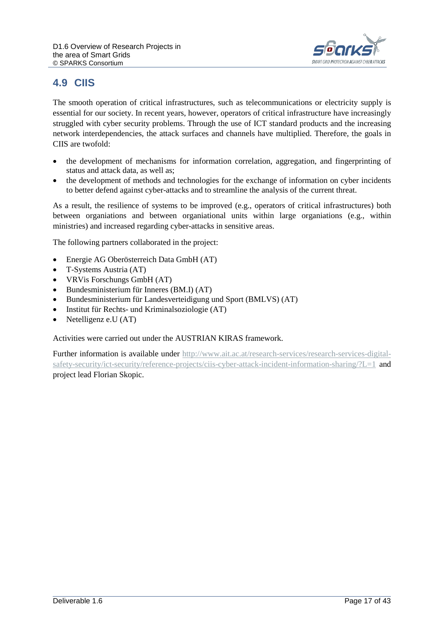

## <span id="page-16-0"></span>**4.9 CIIS**

The smooth operation of critical infrastructures, such as telecommunications or electricity supply is essential for our society. In recent years, however, operators of critical infrastructure have increasingly struggled with cyber security problems. Through the use of ICT standard products and the increasing network interdependencies, the attack surfaces and channels have multiplied. Therefore, the goals in CIIS are twofold:

- the development of mechanisms for information correlation, aggregation, and fingerprinting of status and attack data, as well as;
- the development of methods and technologies for the exchange of information on cyber incidents to better defend against cyber-attacks and to streamline the analysis of the current threat.

As a result, the resilience of systems to be improved (e.g., operators of critical infrastructures) both between organiations and between organiational units within large organiations (e.g., within ministries) and increased regarding cyber-attacks in sensitive areas.

The following partners collaborated in the project:

- Energie AG Oberösterreich Data GmbH (AT)
- T-Systems Austria (AT)
- VRVis Forschungs GmbH (AT)
- Bundesministerium für Inneres (BM.I) (AT)
- Bundesministerium für Landesverteidigung und Sport (BMLVS) (AT)
- Institut für Rechts- und Kriminalsoziologie (AT)
- Netelligenz e.U (AT)

Activities were carried out under the AUSTRIAN KIRAS framework.

Further information is available under [http://www.ait.ac.at/research-services/research-services-digital](http://www.ait.ac.at/research-services/research-services-digital-safety-security/ict-security/reference-projects/ciis-cyber-attack-incident-information-sharing/?L=1)[safety-security/ict-security/reference-projects/ciis-cyber-attack-incident-information-sharing/?L=1](http://www.ait.ac.at/research-services/research-services-digital-safety-security/ict-security/reference-projects/ciis-cyber-attack-incident-information-sharing/?L=1) and project lead Florian Skopic.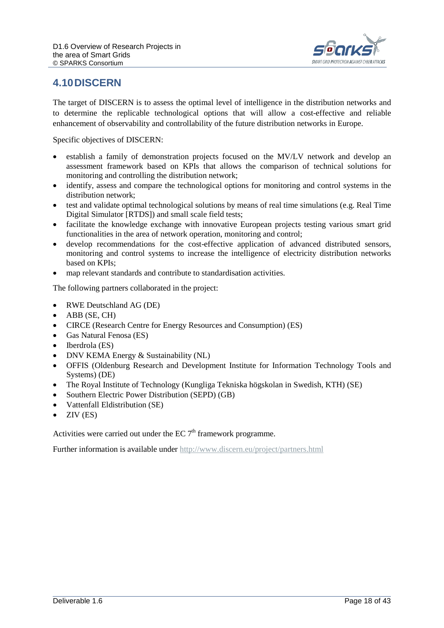

#### <span id="page-17-0"></span>**4.10DISCERN**

The target of DISCERN is to assess the optimal level of intelligence in the distribution networks and to determine the replicable technological options that will allow a cost-effective and reliable enhancement of observability and controllability of the future distribution networks in Europe.

Specific objectives of DISCERN:

- establish a family of demonstration projects focused on the MV/LV network and develop an assessment framework based on KPIs that allows the comparison of technical solutions for monitoring and controlling the distribution network;
- identify, assess and compare the technological options for monitoring and control systems in the distribution network;
- test and validate optimal technological solutions by means of real time simulations (e.g. Real Time Digital Simulator [RTDS]) and small scale field tests;
- facilitate the knowledge exchange with innovative European projects testing various smart grid functionalities in the area of network operation, monitoring and control;
- develop recommendations for the cost-effective application of advanced distributed sensors, monitoring and control systems to increase the intelligence of electricity distribution networks based on KPIs;
- map relevant standards and contribute to standardisation activities.

The following partners collaborated in the project:

- RWE Deutschland AG (DE)
- ABB (SE, CH)
- CIRCE (Research Centre for Energy Resources and Consumption) (ES)
- Gas Natural Fenosa (ES)
- Iberdrola (ES)
- DNV KEMA Energy & Sustainability (NL)
- OFFIS (Oldenburg Research and Development Institute for Information Technology Tools and Systems) (DE)
- The Royal Institute of Technology (Kungliga Tekniska högskolan in Swedish, KTH) (SE)
- Southern Electric Power Distribution (SEPD) (GB)
- Vattenfall Eldistribution (SE)
- $\bullet$  ZIV (ES)

Activities were carried out under the  $EC 7<sup>th</sup>$  framework programme.

Further information is available under<http://www.discern.eu/project/partners.html>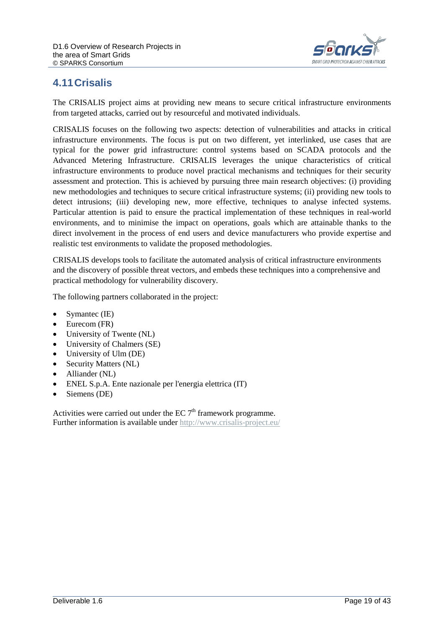

### <span id="page-18-0"></span>**4.11Crisalis**

The CRISALIS project aims at providing new means to secure critical infrastructure environments from targeted attacks, carried out by resourceful and motivated individuals.

CRISALIS focuses on the following two aspects: detection of vulnerabilities and attacks in critical infrastructure environments. The focus is put on two different, yet interlinked, use cases that are typical for the power grid infrastructure: control systems based on SCADA protocols and the Advanced Metering Infrastructure. CRISALIS leverages the unique characteristics of critical infrastructure environments to produce novel practical mechanisms and techniques for their security assessment and protection. This is achieved by pursuing three main research objectives: (i) providing new methodologies and techniques to secure critical infrastructure systems; (ii) providing new tools to detect intrusions; (iii) developing new, more effective, techniques to analyse infected systems. Particular attention is paid to ensure the practical implementation of these techniques in real-world environments, and to minimise the impact on operations, goals which are attainable thanks to the direct involvement in the process of end users and device manufacturers who provide expertise and realistic test environments to validate the proposed methodologies.

CRISALIS develops tools to facilitate the automated analysis of critical infrastructure environments and the discovery of possible threat vectors, and embeds these techniques into a comprehensive and practical methodology for vulnerability discovery.

The following partners collaborated in the project:

- Symantec (IE)
- Eurecom (FR)
- University of Twente (NL)
- University of Chalmers (SE)
- University of Ulm (DE)
- Security Matters (NL)
- Alliander (NL)
- ENEL S.p.A. Ente nazionale per l'energia elettrica (IT)
- Siemens (DE)

Activities were carried out under the EC  $7<sup>th</sup>$  framework programme. Further information is available under<http://www.crisalis-project.eu/>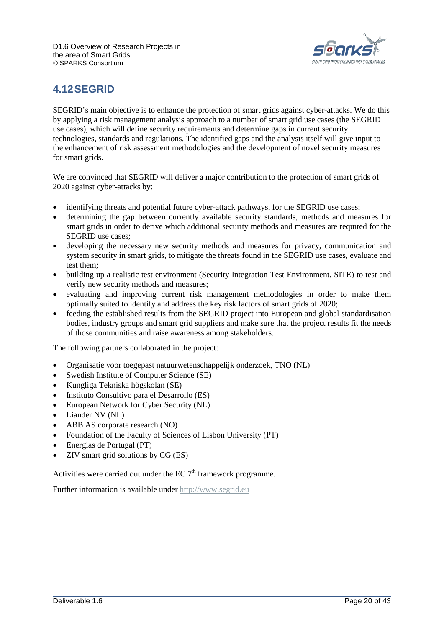

#### <span id="page-19-0"></span>**4.12SEGRID**

SEGRID's main objective is to enhance the protection of smart grids against cyber-attacks. We do this by applying a risk management analysis approach to a number of smart grid use cases (the SEGRID use cases), which will define security requirements and determine gaps in current security technologies, standards and regulations. The identified gaps and the analysis itself will give input to the enhancement of risk assessment methodologies and the development of novel security measures for smart grids.

We are convinced that SEGRID will deliver a major contribution to the protection of smart grids of 2020 against cyber-attacks by:

- identifying threats and potential future cyber-attack pathways, for the SEGRID use cases;
- determining the gap between currently available security standards, methods and measures for smart grids in order to derive which additional security methods and measures are required for the SEGRID use cases;
- developing the necessary new security methods and measures for privacy, communication and system security in smart grids, to mitigate the threats found in the SEGRID use cases, evaluate and test them;
- building up a realistic test environment (Security Integration Test Environment, SITE) to test and verify new security methods and measures;
- evaluating and improving current risk management methodologies in order to make them optimally suited to identify and address the key risk factors of smart grids of 2020;
- feeding the established results from the SEGRID project into European and global standardisation bodies, industry groups and smart grid suppliers and make sure that the project results fit the needs of those communities and raise awareness among stakeholders.

The following partners collaborated in the project:

- Organisatie voor toegepast natuurwetenschappelijk onderzoek, TNO (NL)
- Swedish Institute of Computer Science (SE)
- Kungliga Tekniska högskolan (SE)
- Instituto Consultivo para el Desarrollo (ES)
- European Network for Cyber Security (NL)
- Liander NV (NL)
- ABB AS corporate research (NO)
- Foundation of the Faculty of Sciences of Lisbon University (PT)
- Energias de Portugal (PT)
- ZIV smart grid solutions by CG (ES)

Activities were carried out under the EC  $7<sup>th</sup>$  framework programme.

Further information is available under [http://www.segrid.eu](http://www.discern.eu/project/partners.html)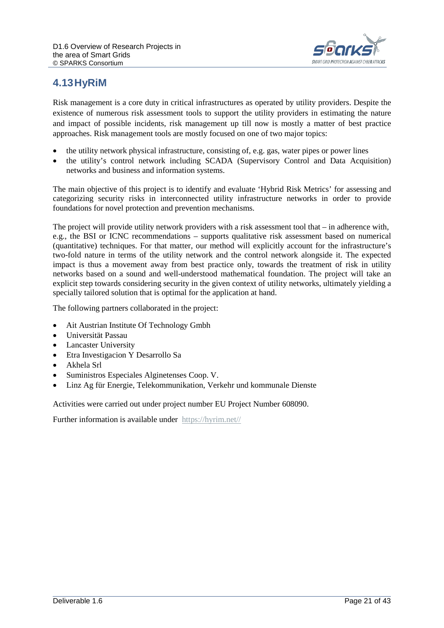

#### <span id="page-20-0"></span>**4.13HyRiM**

Risk management is a core duty in critical infrastructures as operated by utility providers. Despite the existence of numerous risk assessment tools to support the utility providers in estimating the nature and impact of possible incidents, risk management up till now is mostly a matter of best practice approaches. Risk management tools are mostly focused on one of two major topics:

- the utility network physical infrastructure, consisting of, e.g. gas, water pipes or power lines
- the utility's control network including SCADA (Supervisory Control and Data Acquisition) networks and business and information systems.

The main objective of this project is to identify and evaluate 'Hybrid Risk Metrics' for assessing and categorizing security risks in interconnected utility infrastructure networks in order to provide foundations for novel protection and prevention mechanisms.

The project will provide utility network providers with a risk assessment tool that – in adherence with, e.g., the BSI or ICNC recommendations – supports qualitative risk assessment based on numerical (quantitative) techniques. For that matter, our method will explicitly account for the infrastructure's two-fold nature in terms of the utility network and the control network alongside it. The expected impact is thus a movement away from best practice only, towards the treatment of risk in utility networks based on a sound and well-understood mathematical foundation. The project will take an explicit step towards considering security in the given context of utility networks, ultimately yielding a specially tailored solution that is optimal for the application at hand.

The following partners collaborated in the project:

- Ait Austrian Institute Of Technology Gmbh
- Universität Passau
- **Lancaster University**
- Etra Investigacion Y Desarrollo Sa
- Akhela Srl
- Suministros Especiales Alginetenses Coop. V.
- Linz Ag für Energie, Telekommunikation, Verkehr und kommunale Dienste

Activities were carried out under project number EU Project Number 608090.

Further information is available under [https://hyrim.net//](http://www.after-project.eu/Layout/after/)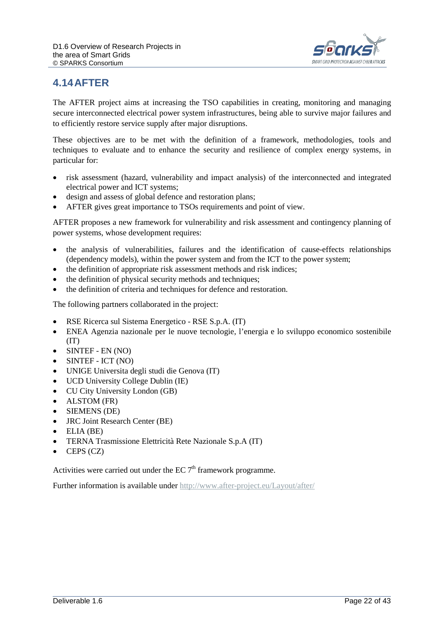

#### <span id="page-21-0"></span>**4.14AFTER**

The AFTER project aims at increasing the TSO capabilities in creating, monitoring and managing secure interconnected electrical power system infrastructures, being able to survive major failures and to efficiently restore service supply after major disruptions.

These objectives are to be met with the definition of a framework, methodologies, tools and techniques to evaluate and to enhance the security and resilience of complex energy systems, in particular for:

- risk assessment (hazard, vulnerability and impact analysis) of the interconnected and integrated electrical power and ICT systems;
- design and assess of global defence and restoration plans;
- AFTER gives great importance to TSOs requirements and point of view.

AFTER proposes a new framework for vulnerability and risk assessment and contingency planning of power systems, whose development requires:

- the analysis of vulnerabilities, failures and the identification of cause-effects relationships (dependency models), within the power system and from the ICT to the power system;
- the definition of appropriate risk assessment methods and risk indices;
- the definition of physical security methods and techniques;
- the definition of criteria and techniques for defence and restoration.

The following partners collaborated in the project:

- RSE Ricerca sul Sistema Energetico RSE S.p.A. (IT)
- ENEA Agenzia nazionale per le nuove tecnologie, l'energia e lo sviluppo economico sostenibile (IT)
- SINTEF EN (NO)
- SINTEF ICT (NO)
- UNIGE Universita degli studi die Genova (IT)
- UCD University College Dublin (IE)
- CU City University London (GB)
- ALSTOM (FR)
- SIEMENS (DE)
- JRC Joint Research Center (BE)
- ELIA (BE)
- TERNA Trasmissione Elettricità Rete Nazionale S.p.A (IT)
- CEPS (CZ)

Activities were carried out under the EC  $7<sup>th</sup>$  framework programme.

Further information is available under<http://www.after-project.eu/Layout/after/>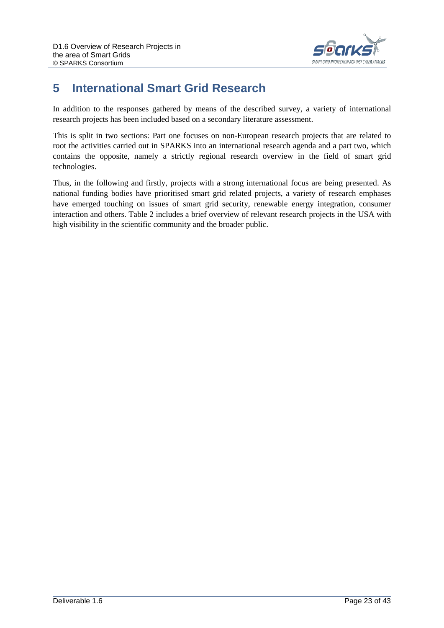

## <span id="page-22-0"></span>**5 International Smart Grid Research**

In addition to the responses gathered by means of the described survey, a variety of international research projects has been included based on a secondary literature assessment.

This is split in two sections: Part one focuses on non-European research projects that are related to root the activities carried out in SPARKS into an international research agenda and a part two, which contains the opposite, namely a strictly regional research overview in the field of smart grid technologies.

Thus, in the following and firstly, projects with a strong international focus are being presented. As national funding bodies have prioritised smart grid related projects, a variety of research emphases have emerged touching on issues of smart grid security, renewable energy integration, consumer interaction and others. Table 2 includes a brief overview of relevant research projects in the USA with high visibility in the scientific community and the broader public.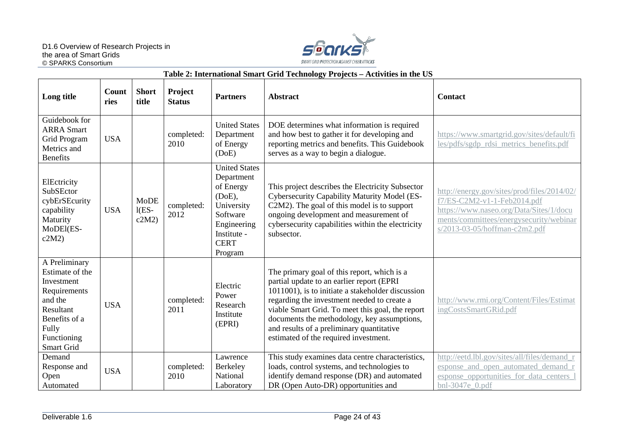

#### **Table 2: International Smart Grid Technology Projects – Activities in the US**

| Long title                                                                                                                                    | Count<br>ries | <b>Short</b><br>title           | Project<br><b>Status</b> | <b>Partners</b>                                                                                                                                | <b>Abstract</b>                                                                                                                                                                                                                                                                                                                                                                       | <b>Contact</b>                                                                                                                                                                                    |
|-----------------------------------------------------------------------------------------------------------------------------------------------|---------------|---------------------------------|--------------------------|------------------------------------------------------------------------------------------------------------------------------------------------|---------------------------------------------------------------------------------------------------------------------------------------------------------------------------------------------------------------------------------------------------------------------------------------------------------------------------------------------------------------------------------------|---------------------------------------------------------------------------------------------------------------------------------------------------------------------------------------------------|
| Guidebook for<br><b>ARRA Smart</b><br>Grid Program<br>Metrics and<br><b>Benefits</b>                                                          | <b>USA</b>    |                                 | completed:<br>2010       | <b>United States</b><br>Department<br>of Energy<br>(DoE)                                                                                       | DOE determines what information is required<br>and how best to gather it for developing and<br>reporting metrics and benefits. This Guidebook<br>serves as a way to begin a dialogue.                                                                                                                                                                                                 | https://www.smartgrid.gov/sites/default/fi<br>les/pdfs/sgdp_rdsi_metrics_benefits.pdf                                                                                                             |
| ElEctricity<br>SubSEctor<br>cybErSEcurity<br>capability<br>Maturity<br>MoDEl(ES-<br>c2M2                                                      | <b>USA</b>    | <b>MoDE</b><br>$1(ES -$<br>c2M2 | completed:<br>2012       | <b>United States</b><br>Department<br>of Energy<br>$(DoE)$ ,<br>University<br>Software<br>Engineering<br>Institute -<br><b>CERT</b><br>Program | This project describes the Electricity Subsector<br>Cybersecurity Capability Maturity Model (ES-<br>C2M2). The goal of this model is to support<br>ongoing development and measurement of<br>cybersecurity capabilities within the electricity<br>subsector.                                                                                                                          | http://energy.gov/sites/prod/files/2014/02/<br>f7/ES-C2M2-v1-1-Feb2014.pdf<br>https://www.naseo.org/Data/Sites/1/docu<br>ments/committees/energysecurity/webinar<br>s/2013-03-05/hoffman-c2m2.pdf |
| A Preliminary<br>Estimate of the<br>Investment<br>Requirements<br>and the<br>Resultant<br>Benefits of a<br>Fully<br>Functioning<br>Smart Grid | <b>USA</b>    |                                 | completed:<br>2011       | Electric<br>Power<br>Research<br>Institute<br>(EPRI)                                                                                           | The primary goal of this report, which is a<br>partial update to an earlier report (EPRI<br>1011001), is to initiate a stakeholder discussion<br>regarding the investment needed to create a<br>viable Smart Grid. To meet this goal, the report<br>documents the methodology, key assumptions,<br>and results of a preliminary quantitative<br>estimated of the required investment. | http://www.rmi.org/Content/Files/Estimat<br>ingCostsSmartGRid.pdf                                                                                                                                 |
| Demand<br>Response and<br>Open<br>Automated                                                                                                   | <b>USA</b>    |                                 | completed:<br>2010       | Lawrence<br>Berkeley<br>National<br>Laboratory                                                                                                 | This study examines data centre characteristics,<br>loads, control systems, and technologies to<br>identify demand response (DR) and automated<br>DR (Open Auto-DR) opportunities and                                                                                                                                                                                                 | http://eetd.lbl.gov/sites/all/files/demand r<br>esponse_and_open_automated_demand_r<br>esponse_opportunities_for_data_centers_1<br>bnl-3047e 0.pdf                                                |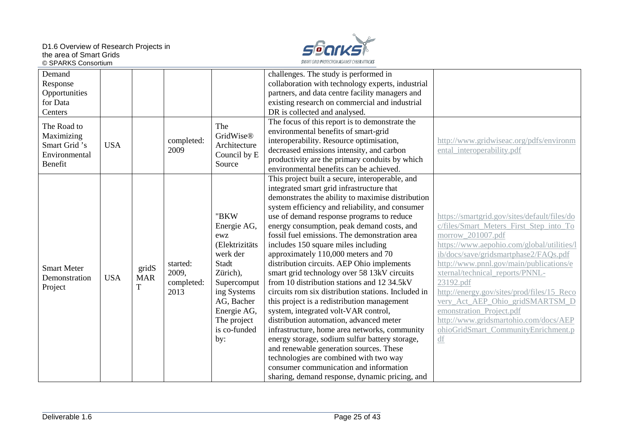D1.6 Overview of Research Projects in the area of Smart Grids © SPARKS Consortium



| Demand             |            |            |            |                  | challenges. The study is performed in               |                                              |
|--------------------|------------|------------|------------|------------------|-----------------------------------------------------|----------------------------------------------|
| Response           |            |            |            |                  | collaboration with technology experts, industrial   |                                              |
| Opportunities      |            |            |            |                  | partners, and data centre facility managers and     |                                              |
| for Data           |            |            |            |                  | existing research on commercial and industrial      |                                              |
| Centers            |            |            |            |                  | DR is collected and analysed.                       |                                              |
| The Road to        |            |            |            | The              | The focus of this report is to demonstrate the      |                                              |
| Maximizing         |            |            |            | <b>GridWise®</b> | environmental benefits of smart-grid                |                                              |
| Smart Grid 's      | <b>USA</b> |            | completed: | Architecture     | interoperability. Resource optimisation,            | http://www.gridwiseac.org/pdfs/environm      |
| Environmental      |            |            | 2009       | Council by E     | decreased emissions intensity, and carbon           | ental interoperability.pdf                   |
| Benefit            |            |            |            | Source           | productivity are the primary conduits by which      |                                              |
|                    |            |            |            |                  | environmental benefits can be achieved.             |                                              |
|                    |            |            |            |                  | This project built a secure, interoperable, and     |                                              |
|                    |            |            |            |                  | integrated smart grid infrastructure that           |                                              |
|                    |            |            |            |                  | demonstrates the ability to maximise distribution   |                                              |
|                    |            |            |            |                  | system efficiency and reliability, and consumer     |                                              |
|                    |            |            |            | "BKW             | use of demand response programs to reduce           | https://smartgrid.gov/sites/default/files/do |
|                    |            |            |            | Energie AG,      | energy consumption, peak demand costs, and          | c/files/Smart_Meters_First_Step_into_To      |
|                    |            |            |            | ewz              | fossil fuel emissions. The demonstration area       | morrow_201007.pdf                            |
|                    |            |            |            | (Elektrizitäts   | includes 150 square miles including                 | https://www.aepohio.com/global/utilities/l   |
|                    |            |            |            | werk der         | approximately 110,000 meters and 70                 | ib/docs/save/gridsmartphase2/FAQs.pdf        |
| <b>Smart Meter</b> |            | gridS      | started:   | Stadt            | distribution circuits. AEP Ohio implements          | http://www.pnnl.gov/main/publications/e      |
| Demonstration      | <b>USA</b> | <b>MAR</b> | 2009,      | Zürich),         | smart grid technology over 58 13kV circuits         | xternal/technical reports/PNNL-              |
| Project            |            | T          | completed: | Supercomput      | from 10 distribution stations and 12 34.5kV         | 23192.pdf                                    |
|                    |            |            | 2013       | ing Systems      | circuits rom six distribution stations. Included in | http://energy.gov/sites/prod/files/15_Reco   |
|                    |            |            |            | AG, Bacher       | this project is a redistribution management         | very_Act_AEP_Ohio_gridSMARTSM_D              |
|                    |            |            |            | Energie AG,      | system, integrated volt-VAR control,                | emonstration Project.pdf                     |
|                    |            |            |            | The project      | distribution automation, advanced meter             | http://www.gridsmartohio.com/docs/AEP        |
|                    |            |            |            | is co-funded     | infrastructure, home area networks, community       | ohioGridSmart CommunityEnrichment.p          |
|                    |            |            |            | by:              | energy storage, sodium sulfur battery storage,      | df                                           |
|                    |            |            |            |                  | and renewable generation sources. These             |                                              |
|                    |            |            |            |                  | technologies are combined with two way              |                                              |
|                    |            |            |            |                  | consumer communication and information              |                                              |
|                    |            |            |            |                  | sharing, demand response, dynamic pricing, and      |                                              |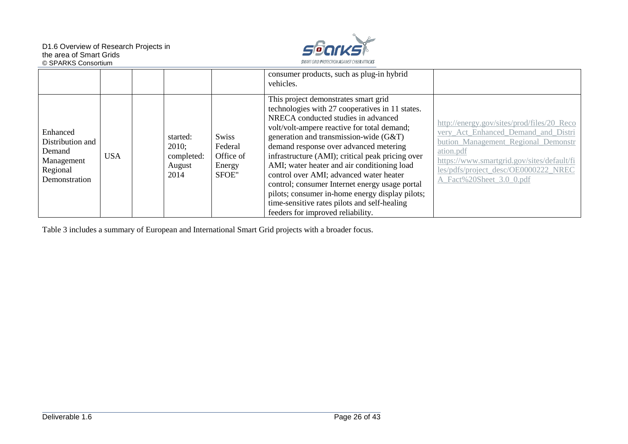

|                                                                                   |            |                                                   |                                                  | consumer products, such as plug-in hybrid<br>vehicles.                                                                                                                                                                                                                                                                                                                                                                                                                                                                                                                                                    |                                                                                                                                                                                                                                                         |
|-----------------------------------------------------------------------------------|------------|---------------------------------------------------|--------------------------------------------------|-----------------------------------------------------------------------------------------------------------------------------------------------------------------------------------------------------------------------------------------------------------------------------------------------------------------------------------------------------------------------------------------------------------------------------------------------------------------------------------------------------------------------------------------------------------------------------------------------------------|---------------------------------------------------------------------------------------------------------------------------------------------------------------------------------------------------------------------------------------------------------|
| Enhanced<br>Distribution and<br>Demand<br>Management<br>Regional<br>Demonstration | <b>USA</b> | started:<br>2010;<br>completed:<br>August<br>2014 | Swiss<br>Federal<br>Office of<br>Energy<br>SFOE" | This project demonstrates smart grid<br>technologies with 27 cooperatives in 11 states.<br>NRECA conducted studies in advanced<br>volt/volt-ampere reactive for total demand;<br>generation and transmission-wide (G&T)<br>demand response over advanced metering<br>infrastructure (AMI); critical peak pricing over<br>AMI; water heater and air conditioning load<br>control over AMI; advanced water heater<br>control; consumer Internet energy usage portal<br>pilots; consumer in-home energy display pilots;<br>time-sensitive rates pilots and self-healing<br>feeders for improved reliability. | http://energy.gov/sites/prod/files/20_Reco<br>very Act Enhanced Demand and Distri<br>bution Management Regional Demonstr<br>ation.pdf<br>https://www.smartgrid.gov/sites/default/fi<br>les/pdfs/project_desc/OE0000222_NREC<br>A Fact%20Sheet 3.0 0.pdf |

Table 3 includes a summary of European and International Smart Grid projects with a broader focus.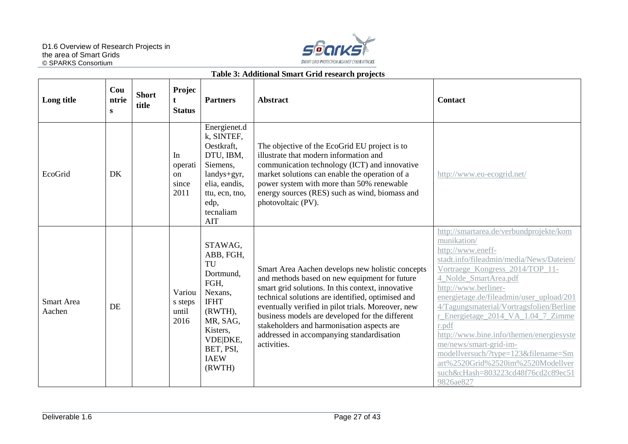

#### **Table 3: Additional Smart Grid research projects**

| Long title                  | Cou<br>ntrie<br>S | <b>Short</b><br>title | Projec<br>t<br><b>Status</b>         | <b>Partners</b>                                                                                                                                                | <b>Abstract</b>                                                                                                                                                                                                                                                                                                                                                                                                                | <b>Contact</b>                                                                                                                                                                                                                                                                                                                                                                                                                                                                                                                                          |
|-----------------------------|-------------------|-----------------------|--------------------------------------|----------------------------------------------------------------------------------------------------------------------------------------------------------------|--------------------------------------------------------------------------------------------------------------------------------------------------------------------------------------------------------------------------------------------------------------------------------------------------------------------------------------------------------------------------------------------------------------------------------|---------------------------------------------------------------------------------------------------------------------------------------------------------------------------------------------------------------------------------------------------------------------------------------------------------------------------------------------------------------------------------------------------------------------------------------------------------------------------------------------------------------------------------------------------------|
| EcoGrid                     | DK                |                       | In<br>operati<br>on<br>since<br>2011 | Energienet.d<br>k, SINTEF,<br>Oestkraft,<br>DTU, IBM,<br>Siemens,<br>landys+gyr,<br>elia, eandis,<br>ttu, ecn, tno,<br>edp,<br>tecnaliam<br><b>AIT</b>         | The objective of the EcoGrid EU project is to<br>illustrate that modern information and<br>communication technology (ICT) and innovative<br>market solutions can enable the operation of a<br>power system with more than 50% renewable<br>energy sources (RES) such as wind, biomass and<br>photovoltaic (PV).                                                                                                                | http://www.eu-ecogrid.net/                                                                                                                                                                                                                                                                                                                                                                                                                                                                                                                              |
| <b>Smart Area</b><br>Aachen | DE                |                       | Variou<br>s steps<br>until<br>2016   | STAWAG,<br>ABB, FGH,<br>TU<br>Dortmund,<br>FGH,<br>Nexans,<br><b>IFHT</b><br>(RWTH),<br>MR, SAG,<br>Kisters,<br>VDE DKE,<br>BET, PSI,<br><b>IAEW</b><br>(RWTH) | Smart Area Aachen develops new holistic concepts<br>and methods based on new equipment for future<br>smart grid solutions. In this context, innovative<br>technical solutions are identified, optimised and<br>eventually verified in pilot trials. Moreover, new<br>business models are developed for the different<br>stakeholders and harmonisation aspects are<br>addressed in accompanying standardisation<br>activities. | http://smartarea.de/verbundprojekte/kom<br>munikation/<br>http://www.eneff-<br>stadt.info/fileadmin/media/News/Dateien/<br>Vortraege Kongress 2014/TOP 11-<br>4_Nolde_SmartArea.pdf<br>http://www.berliner-<br>energietage.de/fileadmin/user_upload/201<br>4/Tagungsmaterial/Vortragsfolien/Berline<br>r_Energietage_2014_VA_1.04_7_Zimme<br>r.pdf<br>http://www.bine.info/themen/energiesyste<br>me/news/smart-grid-im-<br>modellversuch/?type=123&filename=Sm<br>art%2520Grid%2520im%2520Modellver<br>such&cHash=803223cd48f76cd2c89ec51<br>9826ae827 |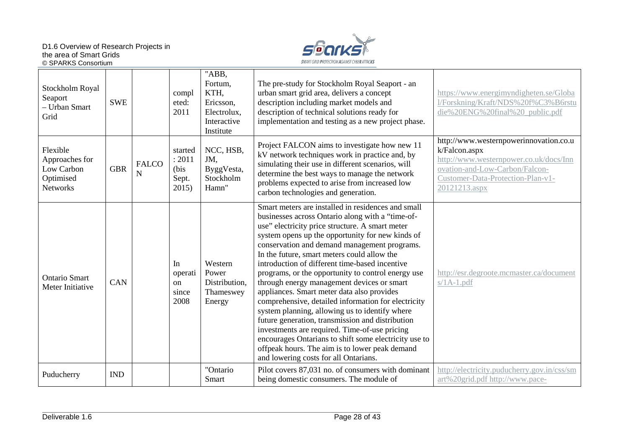

| Stockholm Royal<br>Seaport<br>- Urban Smart<br>Grid                      | <b>SWE</b> |                   | compl<br>eted:<br>2011                          | "ABB,<br>Fortum,<br>KTH,<br>Ericsson,<br>Electrolux,<br>Interactive<br>Institute | The pre-study for Stockholm Royal Seaport - an<br>urban smart grid area, delivers a concept<br>description including market models and<br>description of technical solutions ready for<br>implementation and testing as a new project phase.                                                                                                                                                                                                                                                                                                                                                                                                                                                                                                                                                                                                                                       | https://www.energimyndigheten.se/Globa<br>l/Forskning/Kraft/NDS%20f%C3%B6rstu<br>die%20ENG%20final%20_public.pdf                                                                          |
|--------------------------------------------------------------------------|------------|-------------------|-------------------------------------------------|----------------------------------------------------------------------------------|------------------------------------------------------------------------------------------------------------------------------------------------------------------------------------------------------------------------------------------------------------------------------------------------------------------------------------------------------------------------------------------------------------------------------------------------------------------------------------------------------------------------------------------------------------------------------------------------------------------------------------------------------------------------------------------------------------------------------------------------------------------------------------------------------------------------------------------------------------------------------------|-------------------------------------------------------------------------------------------------------------------------------------------------------------------------------------------|
| Flexible<br>Approaches for<br>Low Carbon<br>Optimised<br><b>Networks</b> | <b>GBR</b> | <b>FALCO</b><br>N | started<br>: 2011<br>(bis<br>Sept.<br>2015)     | NCC, HSB,<br>JM,<br>ByggVesta,<br>Stockholm<br>Hamn"                             | Project FALCON aims to investigate how new 11<br>kV network techniques work in practice and, by<br>simulating their use in different scenarios, will<br>determine the best ways to manage the network<br>problems expected to arise from increased low<br>carbon technologies and generation.                                                                                                                                                                                                                                                                                                                                                                                                                                                                                                                                                                                      | http://www.westernpowerinnovation.co.u<br>k/Falcon.aspx<br>http://www.westernpower.co.uk/docs/Inn<br>ovation-and-Low-Carbon/Falcon-<br>Customer-Data-Protection-Plan-v1-<br>20121213.aspx |
| <b>Ontario Smart</b><br>Meter Initiative                                 | <b>CAN</b> |                   | In<br>operati<br><sub>on</sub><br>since<br>2008 | Western<br>Power<br>Distribution,<br>Thameswey<br>Energy                         | Smart meters are installed in residences and small<br>businesses across Ontario along with a "time-of-<br>use" electricity price structure. A smart meter<br>system opens up the opportunity for new kinds of<br>conservation and demand management programs.<br>In the future, smart meters could allow the<br>introduction of different time-based incentive<br>programs, or the opportunity to control energy use<br>through energy management devices or smart<br>appliances. Smart meter data also provides<br>comprehensive, detailed information for electricity<br>system planning, allowing us to identify where<br>future generation, transmission and distribution<br>investments are required. Time-of-use pricing<br>encourages Ontarians to shift some electricity use to<br>offpeak hours. The aim is to lower peak demand<br>and lowering costs for all Ontarians. | http://esr.degroote.mcmaster.ca/document<br>$s/1A-1.pdf$                                                                                                                                  |
| Puducherry                                                               | <b>IND</b> |                   |                                                 | "Ontario<br>Smart                                                                | Pilot covers 87,031 no. of consumers with dominant<br>being domestic consumers. The module of                                                                                                                                                                                                                                                                                                                                                                                                                                                                                                                                                                                                                                                                                                                                                                                      | http://electricity.puducherry.gov.in/css/sm<br>art%20grid.pdf http://www.pace-                                                                                                            |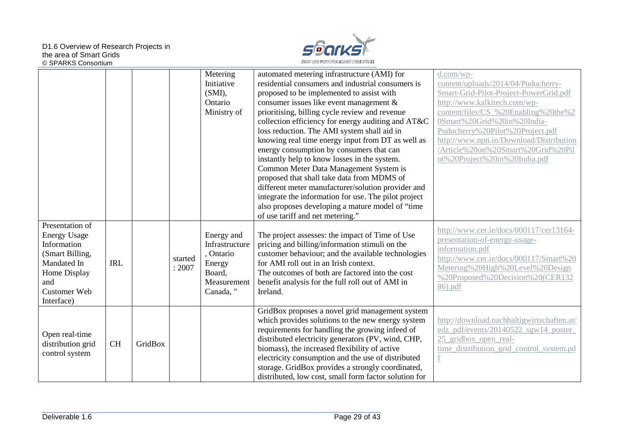

|                                                                                                                                                     |            |         |                   | Metering<br>Initiative<br>(SMI),<br>Ontario<br>Ministry of                                | automated metering infrastructure (AMI) for<br>residential consumers and industrial consumers is<br>proposed to be implemented to assist with<br>consumer issues like event management &<br>prioritising, billing cycle review and revenue<br>collection efficiency for energy auditing and AT&C<br>loss reduction. The AMI system shall aid in<br>knowing real time energy input from DT as well as<br>energy consumption by consumers that can<br>instantly help to know losses in the system.<br>Common Meter Data Management System is<br>proposed that shall take data from MDMS of<br>different meter manufacturer/solution provider and<br>integrate the information for use. The pilot project<br>also proposes developing a mature model of "time<br>of use tariff and net metering." | d.com/wp-<br>content/uploads/2014/04/Puducherry-<br>Smart-Grid-Pilot-Project-PowerGrid.pdf<br>http://www.kalkitech.com/wp-<br>content/files/CS %20Enabling%20the%2<br>0Smart%20Grid%20in%20India-<br>Puducherry%20Pilot%20Project.pdf<br>http://www.npti.in/Download/Distribution<br>/Article%20on%20Smart%20Grid%20Pil<br>ot%20Project%20in%20India.pdf |
|-----------------------------------------------------------------------------------------------------------------------------------------------------|------------|---------|-------------------|-------------------------------------------------------------------------------------------|------------------------------------------------------------------------------------------------------------------------------------------------------------------------------------------------------------------------------------------------------------------------------------------------------------------------------------------------------------------------------------------------------------------------------------------------------------------------------------------------------------------------------------------------------------------------------------------------------------------------------------------------------------------------------------------------------------------------------------------------------------------------------------------------|----------------------------------------------------------------------------------------------------------------------------------------------------------------------------------------------------------------------------------------------------------------------------------------------------------------------------------------------------------|
| Presentation of<br><b>Energy Usage</b><br>Information<br>(Smart Billing,<br>Mandated In<br>Home Display<br>and<br><b>Customer Web</b><br>Interface) | <b>IRL</b> |         | started<br>: 2007 | Energy and<br>Infrastructure<br>, Ontario<br>Energy<br>Board,<br>Measurement<br>Canada, " | The project assesses: the impact of Time of Use<br>pricing and billing/information stimuli on the<br>customer behaviour; and the available technologies<br>for AMI roll out in an Irish context.<br>The outcomes of both are factored into the cost<br>benefit analysis for the full roll out of AMI in<br>Ireland.                                                                                                                                                                                                                                                                                                                                                                                                                                                                            | http://www.cer.ie/docs/000117/cer13164-<br>presentation-of-energy-usage-<br>information.pdf<br>http://www.cer.ie/docs/000117/Smart%20<br>Metering%20High%20Level%20Design<br>%20Proposed%20Decision%20(CER132<br>86).pdf                                                                                                                                 |
| Open real-time<br>distribution grid<br>control system                                                                                               | <b>CH</b>  | GridBox |                   |                                                                                           | GridBox proposes a novel grid management system<br>which provides solutions to the new energy system<br>requirements for handling the growing infeed of<br>distributed electricity generators (PV, wind, CHP,<br>biomass), the increased flexibility of active<br>electricity consumption and the use of distributed<br>storage. GridBox provides a strongly coordinated,<br>distributed, low cost, small form factor solution for                                                                                                                                                                                                                                                                                                                                                             | http://download.nachhaltigwirtschaften.at/<br>edz_pdf/events/20140522_sgw14_poster_<br>25_gridbox_open_real-<br>time_distribution_grid_control_system.pd                                                                                                                                                                                                 |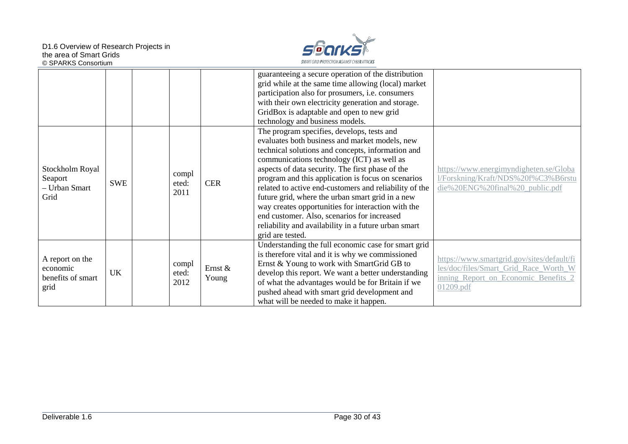

|                                                          |            |                        |                  | guaranteeing a secure operation of the distribution<br>grid while at the same time allowing (local) market<br>participation also for prosumers, i.e. consumers<br>with their own electricity generation and storage.<br>GridBox is adaptable and open to new grid<br>technology and business models.                                                                                                                                                                                                                                                                                                     |                                                                                                                                          |
|----------------------------------------------------------|------------|------------------------|------------------|----------------------------------------------------------------------------------------------------------------------------------------------------------------------------------------------------------------------------------------------------------------------------------------------------------------------------------------------------------------------------------------------------------------------------------------------------------------------------------------------------------------------------------------------------------------------------------------------------------|------------------------------------------------------------------------------------------------------------------------------------------|
| Stockholm Royal<br>Seaport<br>- Urban Smart<br>Grid      | <b>SWE</b> | compl<br>eted:<br>2011 | <b>CER</b>       | The program specifies, develops, tests and<br>evaluates both business and market models, new<br>technical solutions and concepts, information and<br>communications technology (ICT) as well as<br>aspects of data security. The first phase of the<br>program and this application is focus on scenarios<br>related to active end-customers and reliability of the<br>future grid, where the urban smart grid in a new<br>way creates opportunities for interaction with the<br>end customer. Also, scenarios for increased<br>reliability and availability in a future urban smart<br>grid are tested. | https://www.energimyndigheten.se/Globa<br>1/Forskning/Kraft/NDS%20f%C3%B6rstu<br>die%20ENG%20final%20_public.pdf                         |
| A report on the<br>economic<br>benefits of smart<br>grid | <b>UK</b>  | compl<br>eted:<br>2012 | Ernst &<br>Young | Understanding the full economic case for smart grid<br>is therefore vital and it is why we commissioned<br>Ernst & Young to work with SmartGrid GB to<br>develop this report. We want a better understanding<br>of what the advantages would be for Britain if we<br>pushed ahead with smart grid development and<br>what will be needed to make it happen.                                                                                                                                                                                                                                              | https://www.smartgrid.gov/sites/default/fi<br>les/doc/files/Smart Grid Race Worth W<br>inning Report on Economic Benefits 2<br>01209.pdf |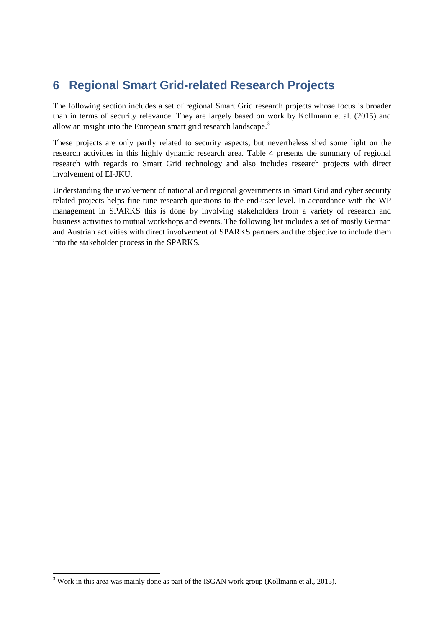## <span id="page-30-0"></span>**6 Regional Smart Grid-related Research Projects**

The following section includes a set of regional Smart Grid research projects whose focus is broader than in terms of security relevance. They are largely based on work by Kollmann et al. (2015) and allow an insight into the European smart grid research landscape.<sup>[3](#page-30-1)</sup>

These projects are only partly related to security aspects, but nevertheless shed some light on the research activities in this highly dynamic research area. Table 4 presents the summary of regional research with regards to Smart Grid technology and also includes research projects with direct involvement of EI-JKU.

Understanding the involvement of national and regional governments in Smart Grid and cyber security related projects helps fine tune research questions to the end-user level. In accordance with the WP management in SPARKS this is done by involving stakeholders from a variety of research and business activities to mutual workshops and events. The following list includes a set of mostly German and Austrian activities with direct involvement of SPARKS partners and the objective to include them into the stakeholder process in the SPARKS.

<span id="page-30-1"></span><sup>&</sup>lt;sup>3</sup> Work in this area was mainly done as part of the ISGAN work group (Kollmann et al., 2015).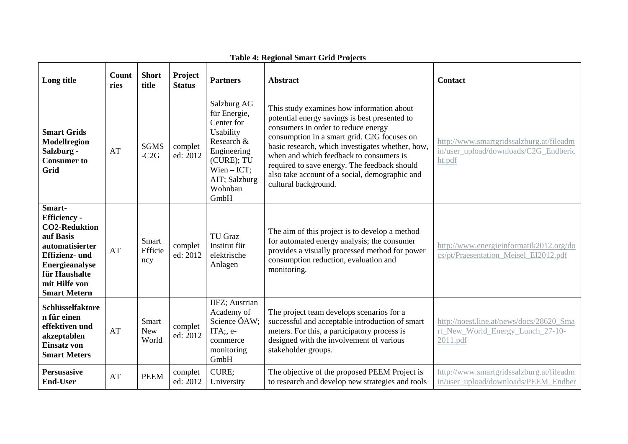| Long title                                                                                                                                                                                       | Count<br>ries | <b>Short</b><br>title          | Project<br><b>Status</b> | <b>Partners</b>                                                                                                                                        | <b>Abstract</b>                                                                                                                                                                                                                                                                                                                                                                                           | <b>Contact</b>                                                                              |
|--------------------------------------------------------------------------------------------------------------------------------------------------------------------------------------------------|---------------|--------------------------------|--------------------------|--------------------------------------------------------------------------------------------------------------------------------------------------------|-----------------------------------------------------------------------------------------------------------------------------------------------------------------------------------------------------------------------------------------------------------------------------------------------------------------------------------------------------------------------------------------------------------|---------------------------------------------------------------------------------------------|
| <b>Smart Grids</b><br>Modellregion<br>Salzburg -<br><b>Consumer to</b><br><b>Grid</b>                                                                                                            | AT            | <b>SGMS</b><br>$-C2G$          | complet<br>ed: 2012      | Salzburg AG<br>für Energie,<br>Center for<br>Usability<br>Research &<br>Engineering<br>(CURE); TU<br>$Wien - ICT;$<br>AIT; Salzburg<br>Wohnbau<br>GmbH | This study examines how information about<br>potential energy savings is best presented to<br>consumers in order to reduce energy<br>consumption in a smart grid. C2G focuses on<br>basic research, which investigates whether, how,<br>when and which feedback to consumers is<br>required to save energy. The feedback should<br>also take account of a social, demographic and<br>cultural background. | http://www.smartgridssalzburg.at/fileadm<br>in/user_upload/downloads/C2G_Endberic<br>ht.pdf |
| Smart-<br><b>Efficiency -</b><br><b>CO2-Reduktion</b><br>auf Basis<br>automatisierter<br><b>Effizienz- und</b><br><b>Energieanalyse</b><br>für Haushalte<br>mit Hilfe von<br><b>Smart Metern</b> | AT            | <b>Smart</b><br>Efficie<br>ncy | complet<br>ed: 2012      | <b>TU Graz</b><br>Institut für<br>elektrische<br>Anlagen                                                                                               | The aim of this project is to develop a method<br>for automated energy analysis; the consumer<br>provides a visually processed method for power<br>consumption reduction, evaluation and<br>monitoring.                                                                                                                                                                                                   | http://www.energieinformatik2012.org/do<br>cs/pt/Praesentation Meisel EI2012.pdf            |
| Schlüsselfaktore<br>n für einen<br>effektiven und<br>akzeptablen<br>Einsatz von<br><b>Smart Meters</b>                                                                                           | AT            | Smart<br><b>New</b><br>World   | complet<br>ed: 2012      | IIFZ; Austrian<br>Academy of<br>Science ÖAW;<br>ITA;, e-<br>commerce<br>monitoring<br>GmbH                                                             | The project team develops scenarios for a<br>successful and acceptable introduction of smart<br>meters. For this, a participatory process is<br>designed with the involvement of various<br>stakeholder groups.                                                                                                                                                                                           | http://noest.line.at/news/docs/28620 Sma<br>rt_New_World_Energy_Lunch_27-10-<br>2011.pdf    |
| Persusasive<br><b>End-User</b>                                                                                                                                                                   | AT            | <b>PEEM</b>                    | complet<br>ed: 2012      | CURE;<br>University                                                                                                                                    | The objective of the proposed PEEM Project is<br>to research and develop new strategies and tools                                                                                                                                                                                                                                                                                                         | http://www.smartgridssalzburg.at/fileadm<br>in/user_upload/downloads/PEEM_Endber            |

#### **Table 4: Regional Smart Grid Projects**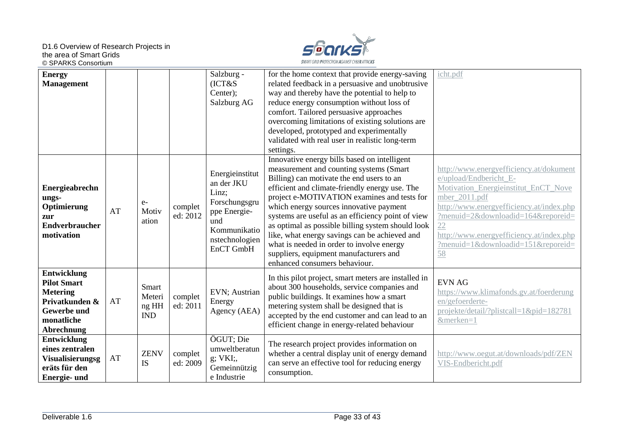D1.6 Overview of Research Projects in the area of Smart Grids © SPARKS Consortium



| <b>Energy</b><br><b>Management</b>                                                                                       |    |                                        |                     | Salzburg -<br>(ICT&S)<br>Center);<br>Salzburg AG                                                                              | for the home context that provide energy-saving<br>related feedback in a persuasive and unobtrusive<br>way and thereby have the potential to help to<br>reduce energy consumption without loss of<br>comfort. Tailored persuasive approaches<br>overcoming limitations of existing solutions are<br>developed, prototyped and experimentally<br>validated with real user in realistic long-term<br>settings.                                                                                                                                                        | icht.pdf                                                                                                                                                                                                                                                                                                   |
|--------------------------------------------------------------------------------------------------------------------------|----|----------------------------------------|---------------------|-------------------------------------------------------------------------------------------------------------------------------|---------------------------------------------------------------------------------------------------------------------------------------------------------------------------------------------------------------------------------------------------------------------------------------------------------------------------------------------------------------------------------------------------------------------------------------------------------------------------------------------------------------------------------------------------------------------|------------------------------------------------------------------------------------------------------------------------------------------------------------------------------------------------------------------------------------------------------------------------------------------------------------|
| Energieabrechn<br>ungs-<br>Optimierung<br>zur<br><b>Endverbraucher</b><br>motivation                                     | AT | $e-$<br>Motiv<br>ation                 | complet<br>ed: 2012 | Energieinstitut<br>an der JKU<br>Linz;<br>Forschungsgru<br>ppe Energie-<br>und<br>Kommunikatio<br>nstechnologien<br>EnCT GmbH | Innovative energy bills based on intelligent<br>measurement and counting systems (Smart<br>Billing) can motivate the end users to an<br>efficient and climate-friendly energy use. The<br>project e-MOTIVATION examines and tests for<br>which energy sources innovative payment<br>systems are useful as an efficiency point of view<br>as optimal as possible billing system should look<br>like, what energy savings can be achieved and<br>what is needed in order to involve energy<br>suppliers, equipment manufacturers and<br>enhanced consumers behaviour. | http://www.energyefficiency.at/dokument<br>e/upload/Endbericht_E-<br>Motivation Energieinstitut EnCT Nove<br>mber_2011.pdf<br>http://www.energyefficiency.at/index.php<br>?menuid=2&downloadid=164&reporeid=<br>22<br>http://www.energyefficiency.at/index.php<br>?menuid=1&downloadid=151&reporeid=<br>58 |
| Entwicklung<br><b>Pilot Smart</b><br><b>Metering</b><br>Privatkunden &<br><b>Gewerbe und</b><br>monatliche<br>Abrechnung | AT | Smart<br>Meteri<br>ng HH<br><b>IND</b> | complet<br>ed: 2011 | EVN; Austrian<br>Energy<br>Agency (AEA)                                                                                       | In this pilot project, smart meters are installed in<br>about 300 households, service companies and<br>public buildings. It examines how a smart<br>metering system shall be designed that is<br>accepted by the end customer and can lead to an<br>efficient change in energy-related behaviour                                                                                                                                                                                                                                                                    | <b>EVN AG</b><br>https://www.klimafonds.gv.at/foerderung<br>en/gefoerderte-<br>projekte/detail/?plistcall=1&pid=182781<br>&merken=1                                                                                                                                                                        |
| Entwicklung<br>eines zentralen<br><b>Visualisierungsg</b><br>eräts für den<br>Energie- und                               | AT | <b>ZENV</b><br><b>IS</b>               | complet<br>ed: 2009 | ÖGUT; Die<br>umweltberatun<br>g; VKI;,<br>Gemeinnützig<br>e Industrie                                                         | The research project provides information on<br>whether a central display unit of energy demand<br>can serve an effective tool for reducing energy<br>consumption.                                                                                                                                                                                                                                                                                                                                                                                                  | http://www.oegut.at/downloads/pdf/ZEN<br>VIS-Endbericht.pdf                                                                                                                                                                                                                                                |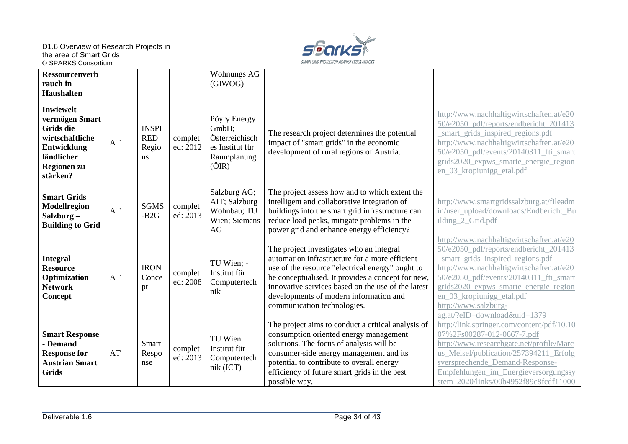D1.6 Overview of Research Projects in the area of Smart Grids © SPARKS Consortium



| <b>Ressourcenverb</b><br>rauch in<br><b>Haushalten</b>                                                                            |    |                                           |                     | Wohnungs AG<br>(GIWOG)                                                             |                                                                                                                                                                                                                                                                                                                                    |                                                                                                                                                                                                                                                                                                                                            |
|-----------------------------------------------------------------------------------------------------------------------------------|----|-------------------------------------------|---------------------|------------------------------------------------------------------------------------|------------------------------------------------------------------------------------------------------------------------------------------------------------------------------------------------------------------------------------------------------------------------------------------------------------------------------------|--------------------------------------------------------------------------------------------------------------------------------------------------------------------------------------------------------------------------------------------------------------------------------------------------------------------------------------------|
| <b>Inwieweit</b><br>vermögen Smart<br><b>Grids die</b><br>wirtschaftliche<br>Entwicklung<br>ländlicher<br>Regionen zu<br>stärken? | AT | <b>INSPI</b><br><b>RED</b><br>Regio<br>ns | complet<br>ed: 2012 | Pöyry Energy<br>GmbH;<br>Österreichisch<br>es Institut für<br>Raumplanung<br>(OIR) | The research project determines the potential<br>impact of "smart grids" in the economic<br>development of rural regions of Austria.                                                                                                                                                                                               | http://www.nachhaltigwirtschaften.at/e20<br>50/e2050 pdf/reports/endbericht 201413<br>smart grids inspired regions.pdf<br>http://www.nachhaltigwirtschaften.at/e20<br>50/e2050_pdf/events/20140311_fti_smart<br>grids2020_expws_smarte_energie_region<br>en 03 kropiunigg etal.pdf                                                         |
| <b>Smart Grids</b><br><b>Modellregion</b><br>Salzburg-<br><b>Building to Grid</b>                                                 | AT | <b>SGMS</b><br>$-B2G$                     | complet<br>ed: 2013 | Salzburg AG;<br>AIT; Salzburg<br>Wohnbau; TU<br>Wien; Siemens<br>AG                | The project assess how and to which extent the<br>intelligent and collaborative integration of<br>buildings into the smart grid infrastructure can<br>reduce load peaks, mitigate problems in the<br>power grid and enhance energy efficiency?                                                                                     | http://www.smartgridssalzburg.at/fileadm<br>in/user_upload/downloads/Endbericht_Bu<br>ilding_2_Grid.pdf                                                                                                                                                                                                                                    |
| <b>Integral</b><br><b>Resource</b><br>Optimization<br><b>Network</b><br>Concept                                                   | AT | <b>IRON</b><br>Conce<br>pt                | complet<br>ed: 2008 | TU Wien; -<br>Institut für<br>Computertech<br>nik                                  | The project investigates who an integral<br>automation infrastructure for a more efficient<br>use of the resource "electrical energy" ought to<br>be conceptualised. It provides a concept for new,<br>innovative services based on the use of the latest<br>developments of modern information and<br>communication technologies. | http://www.nachhaltigwirtschaften.at/e20<br>50/e2050_pdf/reports/endbericht_201413<br>smart grids inspired regions.pdf<br>http://www.nachhaltigwirtschaften.at/e20<br>50/e2050_pdf/events/20140311_fti_smart<br>grids2020 expws smarte energie region<br>en 03 kropiunigg etal.pdf<br>http://www.salzburg-<br>ag.at/?eID=download&uid=1379 |
| <b>Smart Response</b><br>- Demand<br><b>Response for</b><br><b>Austrian Smart</b><br><b>Grids</b>                                 | AT | Smart<br>Respo<br>nse                     | complet<br>ed: 2013 | TU Wien<br>Institut für<br>Computertech<br>nik (ICT)                               | The project aims to conduct a critical analysis of<br>consumption oriented energy management<br>solutions. The focus of analysis will be<br>consumer-side energy management and its<br>potential to contribute to overall energy<br>efficiency of future smart grids in the best<br>possible way.                                  | http://link.springer.com/content/pdf/10.10<br>07%2Fs00287-012-0667-7.pdf<br>http://www.researchgate.net/profile/Marc<br>us_Meisel/publication/257394211_Erfolg<br>sversprechende Demand-Response-<br>Empfehlungen im Energieversorgungssy<br>stem_2020/links/00b4952f89c8fcdf11000                                                         |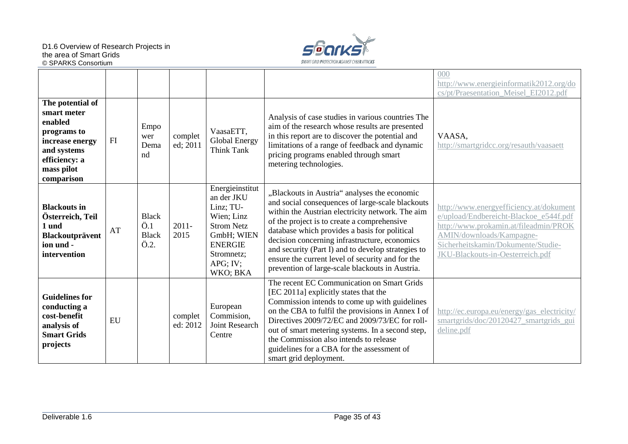

|                                                                                                                                          |    |                                                                                |                     |                                                                                                                                                        |                                                                                                                                                                                                                                                                                                                                                                                                                                                                    | 000<br>http://www.energieinformatik2012.org/do<br>cs/pt/Praesentation_Meisel_EI2012.pdf                                                                                                                                          |
|------------------------------------------------------------------------------------------------------------------------------------------|----|--------------------------------------------------------------------------------|---------------------|--------------------------------------------------------------------------------------------------------------------------------------------------------|--------------------------------------------------------------------------------------------------------------------------------------------------------------------------------------------------------------------------------------------------------------------------------------------------------------------------------------------------------------------------------------------------------------------------------------------------------------------|----------------------------------------------------------------------------------------------------------------------------------------------------------------------------------------------------------------------------------|
| The potential of<br>smart meter<br>enabled<br>programs to<br>increase energy<br>and systems<br>efficiency: a<br>mass pilot<br>comparison | FI | Empo<br>wer<br>Dema<br>nd                                                      | complet<br>ed; 2011 | VaasaETT,<br>Global Energy<br>Think Tank                                                                                                               | Analysis of case studies in various countries The<br>aim of the research whose results are presented<br>in this report are to discover the potential and<br>limitations of a range of feedback and dynamic<br>pricing programs enabled through smart<br>metering technologies.                                                                                                                                                                                     | VAASA,<br>http://smartgridcc.org/resauth/vaasaett                                                                                                                                                                                |
| <b>Blackouts</b> in<br>Österreich, Teil<br>1 und<br>Blackoutprävent<br>ion und -<br>intervention                                         | AT | <b>Black</b><br>$\ddot{\text{O}}.1$<br><b>Black</b><br>$\ddot{\mathrm{O}}.2$ . | $2011 -$<br>2015    | Energieinstitut<br>an der JKU<br>Linz; TU-<br>Wien; Linz<br><b>Strom Netz</b><br>GmbH; WIEN<br><b>ENERGIE</b><br>Stromnetz;<br>$APG$ ; IV;<br>WKO; BKA | "Blackouts in Austria" analyses the economic<br>and social consequences of large-scale blackouts<br>within the Austrian electricity network. The aim<br>of the project is to create a comprehensive<br>database which provides a basis for political<br>decision concerning infrastructure, economics<br>and security (Part I) and to develop strategies to<br>ensure the current level of security and for the<br>prevention of large-scale blackouts in Austria. | http://www.energyefficiency.at/dokument<br>e/upload/Endbereicht-Blackoe_e544f.pdf<br>http://www.prokamin.at/fileadmin/PROK<br>AMIN/downloads/Kampagne-<br>Sicherheitskamin/Dokumente/Studie-<br>JKU-Blackouts-in-Oesterreich.pdf |
| <b>Guidelines for</b><br>conducting a<br>cost-benefit<br>analysis of<br><b>Smart Grids</b><br>projects                                   | EU |                                                                                | complet<br>ed: 2012 | European<br>Commision,<br>Joint Research<br>Centre                                                                                                     | The recent EC Communication on Smart Grids<br>[EC 2011a] explicitly states that the<br>Commission intends to come up with guidelines<br>on the CBA to fulfil the provisions in Annex I of<br>Directives 2009/72/EC and 2009/73/EC for roll-<br>out of smart metering systems. In a second step,<br>the Commission also intends to release<br>guidelines for a CBA for the assessment of<br>smart grid deployment.                                                  | http://ec.europa.eu/energy/gas_electricity/<br>smartgrids/doc/20120427_smartgrids_gui<br>deline.pdf                                                                                                                              |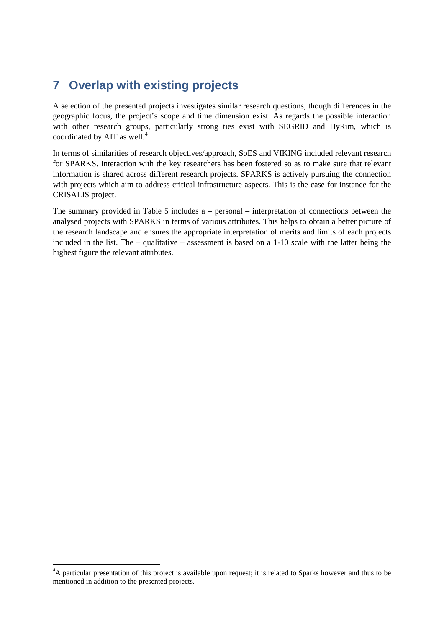## <span id="page-35-0"></span>**7 Overlap with existing projects**

A selection of the presented projects investigates similar research questions, though differences in the geographic focus, the project's scope and time dimension exist. As regards the possible interaction with other research groups, particularly strong ties exist with SEGRID and HyRim, which is coordinated by AIT as well. [4](#page-35-2)

In terms of similarities of research objectives/approach, SoES and VIKING included relevant research for SPARKS. Interaction with the key researchers has been fostered so as to make sure that relevant information is shared across different research projects. SPARKS is actively pursuing the connection with projects which aim to address critical infrastructure aspects. This is the case for instance for the CRISALIS project.

<span id="page-35-1"></span>The summary provided in [Table 5](#page-35-1) includes a – personal – interpretation of connections between the analysed projects with SPARKS in terms of various attributes. This helps to obtain a better picture of the research landscape and ensures the appropriate interpretation of merits and limits of each projects included in the list. The – qualitative – assessment is based on a  $1-10$  scale with the latter being the highest figure the relevant attributes.

<span id="page-35-2"></span><sup>-&</sup>lt;br>4 <sup>4</sup>A particular presentation of this project is available upon request; it is related to Sparks however and thus to be mentioned in addition to the presented projects.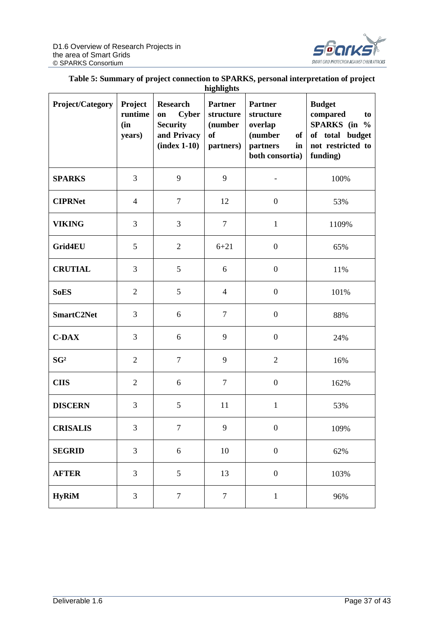

#### **Table 5: Summary of project connection to SPARKS, personal interpretation of project**

| highlights              |                                     |                                                                                           |                                                                  |                                                                                              |                                                                                                     |  |  |
|-------------------------|-------------------------------------|-------------------------------------------------------------------------------------------|------------------------------------------------------------------|----------------------------------------------------------------------------------------------|-----------------------------------------------------------------------------------------------------|--|--|
| <b>Project/Category</b> | Project<br>runtime<br>(in<br>years) | <b>Research</b><br><b>Cyber</b><br>on<br><b>Security</b><br>and Privacy<br>$(index 1-10)$ | <b>Partner</b><br>structure<br>(number<br><b>of</b><br>partners) | <b>Partner</b><br>structure<br>overlap<br>(number<br>of<br>partners<br>in<br>both consortia) | <b>Budget</b><br>compared<br>to<br>SPARKS (in %<br>of total budget<br>not restricted to<br>funding) |  |  |
| <b>SPARKS</b>           | 3                                   | 9                                                                                         | 9                                                                |                                                                                              | 100%                                                                                                |  |  |
| <b>CIPRNet</b>          | $\overline{4}$                      | $\tau$                                                                                    | 12                                                               | $\boldsymbol{0}$                                                                             | 53%                                                                                                 |  |  |
| <b>VIKING</b>           | 3                                   | 3                                                                                         | $\tau$                                                           | $\mathbf{1}$                                                                                 | 1109%                                                                                               |  |  |
| Grid4EU                 | 5                                   | $\overline{2}$                                                                            | $6 + 21$                                                         | $\boldsymbol{0}$                                                                             | 65%                                                                                                 |  |  |
| <b>CRUTIAL</b>          | 3                                   | 5                                                                                         | 6                                                                | $\boldsymbol{0}$                                                                             | 11%                                                                                                 |  |  |
| <b>SoES</b>             | $\overline{2}$                      | 5                                                                                         | $\overline{4}$                                                   | $\boldsymbol{0}$                                                                             | 101%                                                                                                |  |  |
| SmartC2Net              | 3                                   | 6                                                                                         | $\tau$                                                           | $\boldsymbol{0}$                                                                             | 88%                                                                                                 |  |  |
| $C$ -DAX                | 3                                   | 6                                                                                         | 9                                                                | $\boldsymbol{0}$                                                                             | 24%                                                                                                 |  |  |
| SG <sup>2</sup>         | $\overline{2}$                      | $\tau$                                                                                    | 9                                                                | $\mathfrak{2}$                                                                               | 16%                                                                                                 |  |  |
| <b>CIIS</b>             | $\overline{2}$                      | 6                                                                                         | $\tau$                                                           | $\boldsymbol{0}$                                                                             | 162%                                                                                                |  |  |
| <b>DISCERN</b>          | 3                                   | 5                                                                                         | 11                                                               | $\mathbf{1}$                                                                                 | 53%                                                                                                 |  |  |
| <b>CRISALIS</b>         | 3                                   | $\overline{7}$                                                                            | 9                                                                | $\boldsymbol{0}$                                                                             | 109%                                                                                                |  |  |
| <b>SEGRID</b>           | 3                                   | 6                                                                                         | 10                                                               | $\boldsymbol{0}$                                                                             | 62%                                                                                                 |  |  |
| <b>AFTER</b>            | 3                                   | 5                                                                                         | 13                                                               | $\boldsymbol{0}$                                                                             | 103%                                                                                                |  |  |
| <b>HyRiM</b>            | 3                                   | $\tau$                                                                                    | $\tau$                                                           | $\mathbf{1}$                                                                                 | 96%                                                                                                 |  |  |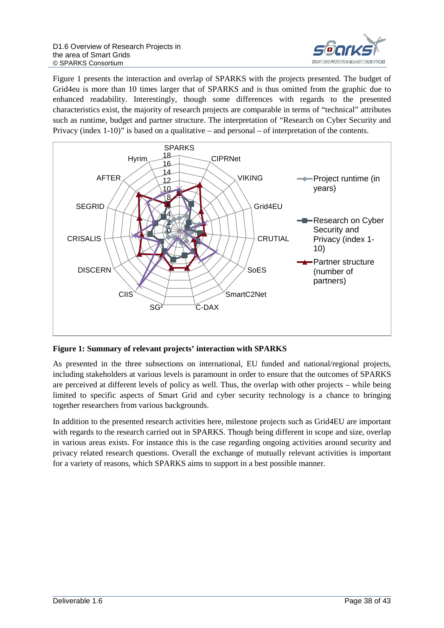

[Figure 1](#page-37-0) presents the interaction and overlap of SPARKS with the projects presented. The budget of Grid4eu is more than 10 times larger that of SPARKS and is thus omitted from the graphic due to enhanced readability. Interestingly, though some differences with regards to the presented characteristics exist, the majority of research projects are comparable in terms of "technical" attributes such as runtime, budget and partner structure. The interpretation of "Research on Cyber Security and Privacy (index 1-10)" is based on a qualitative – and personal – of interpretation of the contents.



<span id="page-37-0"></span>**Figure 1: Summary of relevant projects' interaction with SPARKS**

As presented in the three subsections on international, EU funded and national/regional projects, including stakeholders at various levels is paramount in order to ensure that the outcomes of SPARKS are perceived at different levels of policy as well. Thus, the overlap with other projects – while being limited to specific aspects of Smart Grid and cyber security technology is a chance to bringing together researchers from various backgrounds.

In addition to the presented research activities here, milestone projects such as Grid4EU are important with regards to the research carried out in SPARKS. Though being different in scope and size, overlap in various areas exists. For instance this is the case regarding ongoing activities around security and privacy related research questions. Overall the exchange of mutually relevant activities is important for a variety of reasons, which SPARKS aims to support in a best possible manner.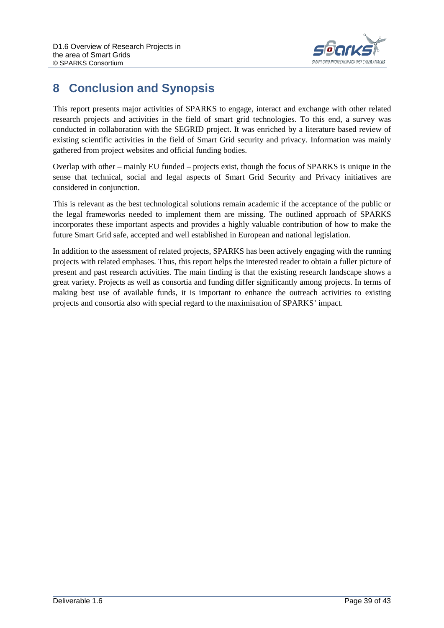

## <span id="page-38-0"></span>**8 Conclusion and Synopsis**

This report presents major activities of SPARKS to engage, interact and exchange with other related research projects and activities in the field of smart grid technologies. To this end, a survey was conducted in collaboration with the SEGRID project. It was enriched by a literature based review of existing scientific activities in the field of Smart Grid security and privacy. Information was mainly gathered from project websites and official funding bodies.

Overlap with other – mainly EU funded – projects exist, though the focus of SPARKS is unique in the sense that technical, social and legal aspects of Smart Grid Security and Privacy initiatives are considered in conjunction.

This is relevant as the best technological solutions remain academic if the acceptance of the public or the legal frameworks needed to implement them are missing. The outlined approach of SPARKS incorporates these important aspects and provides a highly valuable contribution of how to make the future Smart Grid safe, accepted and well established in European and national legislation.

In addition to the assessment of related projects, SPARKS has been actively engaging with the running projects with related emphases. Thus, this report helps the interested reader to obtain a fuller picture of present and past research activities. The main finding is that the existing research landscape shows a great variety. Projects as well as consortia and funding differ significantly among projects. In terms of making best use of available funds, it is important to enhance the outreach activities to existing projects and consortia also with special regard to the maximisation of SPARKS' impact.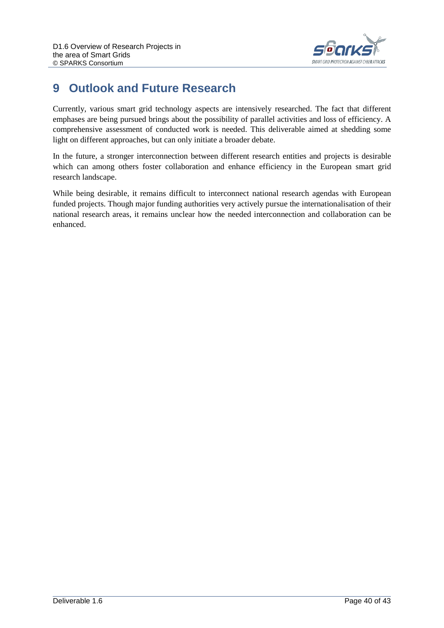

## <span id="page-39-0"></span>**9 Outlook and Future Research**

Currently, various smart grid technology aspects are intensively researched. The fact that different emphases are being pursued brings about the possibility of parallel activities and loss of efficiency. A comprehensive assessment of conducted work is needed. This deliverable aimed at shedding some light on different approaches, but can only initiate a broader debate.

In the future, a stronger interconnection between different research entities and projects is desirable which can among others foster collaboration and enhance efficiency in the European smart grid research landscape.

While being desirable, it remains difficult to interconnect national research agendas with European funded projects. Though major funding authorities very actively pursue the internationalisation of their national research areas, it remains unclear how the needed interconnection and collaboration can be enhanced.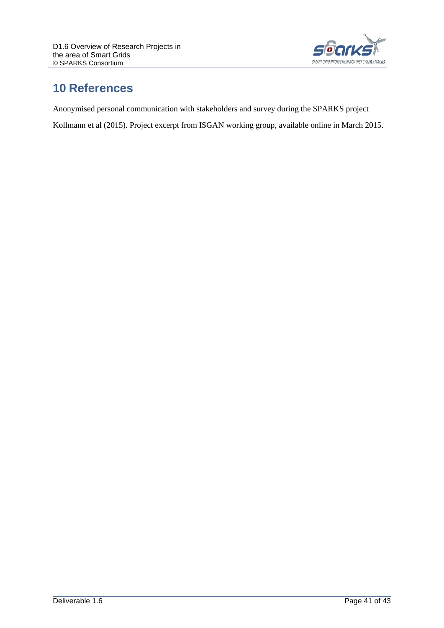

## <span id="page-40-0"></span>**10 References**

Anonymised personal communication with stakeholders and survey during the SPARKS project

Kollmann et al (2015). Project excerpt from ISGAN working group, available online in March 2015.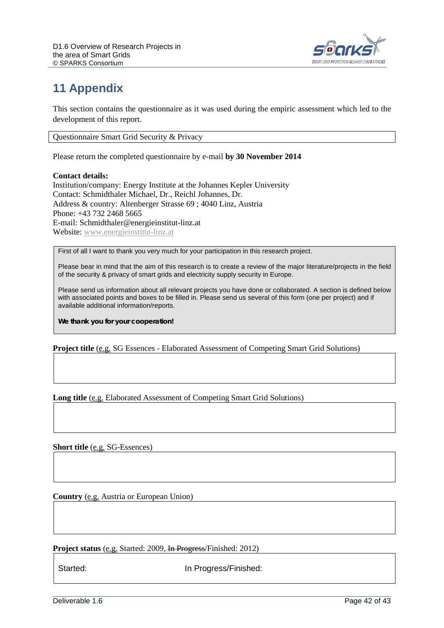

## <span id="page-41-0"></span>**11 Appendix**

This section contains the questionnaire as it was used during the empiric assessment which led to the development of this report.

Questionnaire Smart Grid Security & Privacy

Please return the completed questionnaire by e-mail **by 30 November 2014** 

#### **Contact details:**

Institution/company: Energy Institute at the Johannes Kepler University Contact: Schmidthaler Michael, Dr., Reichl Johannes, Dr. Address & country: Altenberger Strasse 69 ; 4040 Linz, Austria Phone: +43 732 2468 5665 E-mail: Schmidthaler@energieinstitut-linz.at Website[: www.energieinstitut-linz.at](http://www.energieinstitut-linz.at/)

First of all I want to thank you very much for your participation in this research project.

Please bear in mind that the aim of this research is to create a review of the major literature/projects in the field of the security & privacy of smart grids and electricity supply security in Europe.

Please send us information about all relevant projects you have done or collaborated. A section is defined below with associated points and boxes to be filled in. Please send us several of this form (one per project) and if available additional information/reports.

**We thank you for your cooperation!**

**Project title** [\(e.g.](http://www.linguee.de/englisch-deutsch/uebersetzung/e.g..html) SG Essences - Elaborated Assessment of Competing Smart Grid Solutions)

**Long title** [\(e.g.](http://www.linguee.de/englisch-deutsch/uebersetzung/e.g..html) Elaborated Assessment of Competing Smart Grid Solutions)

**Short title** [\(e.g.](http://www.linguee.de/englisch-deutsch/uebersetzung/e.g..html) SG-Essences)

**Country** [\(e.g.](http://www.linguee.de/englisch-deutsch/uebersetzung/e.g..html) Austria or European Union)

**Project status** [\(e.g.](http://www.linguee.de/englisch-deutsch/uebersetzung/e.g..html) Started: 2009, In Progress/Finished: 2012)

Started: **In Progress/Finished:**